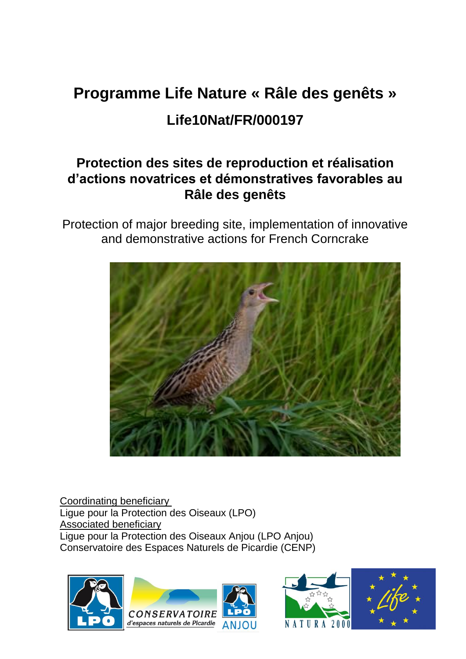# **Programme Life Nature « Râle des genêts » Life10Nat/FR/000197**

# **Protection des sites de reproduction et réalisation d'actions novatrices et démonstratives favorables au Râle des genêts**

Protection of major breeding site, implementation of innovative and demonstrative actions for French Corncrake



Coordinating beneficiary Ligue pour la Protection des Oiseaux (LPO) Associated beneficiary Ligue pour la Protection des Oiseaux Anjou (LPO Anjou) Conservatoire des Espaces Naturels de Picardie (CENP)



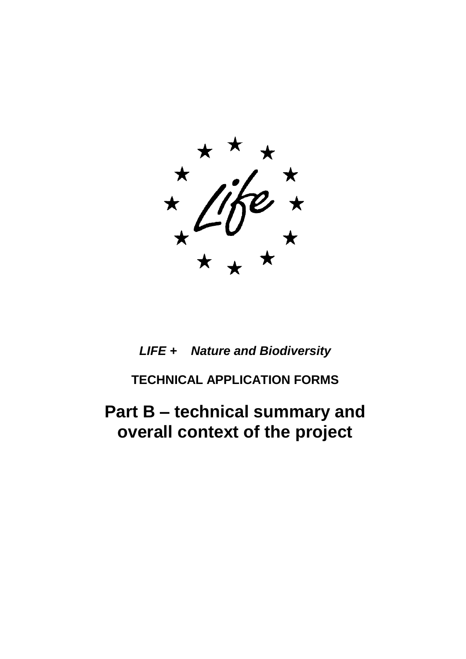*LIFE + Nature and Biodiversity*

**TECHNICAL APPLICATION FORMS**

**Part B – technical summary and overall context of the project**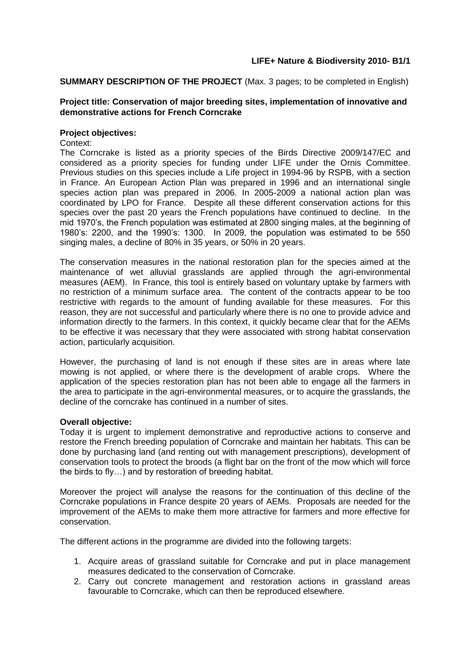**SUMMARY DESCRIPTION OF THE PROJECT** (Max. 3 pages; to be completed in English)

#### **Project title: Conservation of major breeding sites, implementation of innovative and demonstrative actions for French Corncrake**

#### **Project objectives:**

Context:

The Corncrake is listed as a priority species of the Birds Directive 2009/147/EC and considered as a priority species for funding under LIFE under the Ornis Committee. Previous studies on this species include a Life project in 1994-96 by RSPB, with a section in France. An European Action Plan was prepared in 1996 and an international single species action plan was prepared in 2006. In 2005-2009 a national action plan was coordinated by LPO for France. Despite all these different conservation actions for this species over the past 20 years the French populations have continued to decline. In the mid 1970's, the French population was estimated at 2800 singing males, at the beginning of 1980's: 2200, and the 1990's: 1300. In 2009, the population was estimated to be 550 singing males, a decline of 80% in 35 years, or 50% in 20 years.

The conservation measures in the national restoration plan for the species aimed at the maintenance of wet alluvial grasslands are applied through the agri-environmental measures (AEM). In France, this tool is entirely based on voluntary uptake by farmers with no restriction of a minimum surface area. The content of the contracts appear to be too restrictive with regards to the amount of funding available for these measures. For this reason, they are not successful and particularly where there is no one to provide advice and information directly to the farmers. In this context, it quickly became clear that for the AEMs to be effective it was necessary that they were associated with strong habitat conservation action, particularly acquisition.

However, the purchasing of land is not enough if these sites are in areas where late mowing is not applied, or where there is the development of arable crops. Where the application of the species restoration plan has not been able to engage all the farmers in the area to participate in the agri-environmental measures, or to acquire the grasslands, the decline of the corncrake has continued in a number of sites.

#### **Overall objective:**

Today it is urgent to implement demonstrative and reproductive actions to conserve and restore the French breeding population of Corncrake and maintain her habitats. This can be done by purchasing land (and renting out with management prescriptions), development of conservation tools to protect the broods (a flight bar on the front of the mow which will force the birds to fly…) and by restoration of breeding habitat.

Moreover the project will analyse the reasons for the continuation of this decline of the Corncrake populations in France despite 20 years of AEMs. Proposals are needed for the improvement of the AEMs to make them more attractive for farmers and more effective for conservation.

The different actions in the programme are divided into the following targets:

- 1. Acquire areas of grassland suitable for Corncrake and put in place management measures dedicated to the conservation of Corncrake.
- 2. Carry out concrete management and restoration actions in grassland areas favourable to Corncrake, which can then be reproduced elsewhere.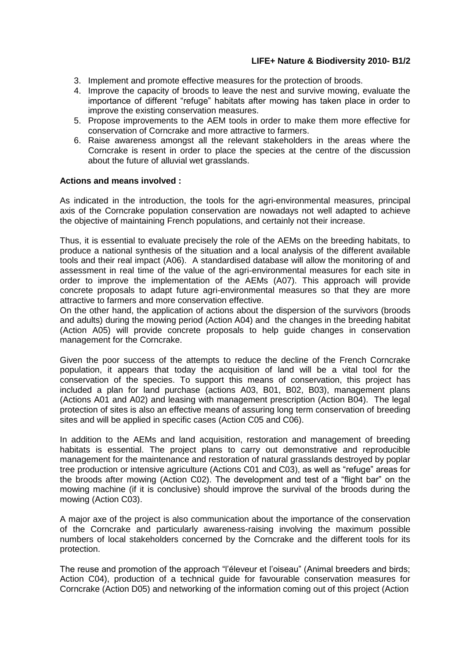- 3. Implement and promote effective measures for the protection of broods.
- 4. Improve the capacity of broods to leave the nest and survive mowing, evaluate the importance of different "refuge" habitats after mowing has taken place in order to improve the existing conservation measures.
- 5. Propose improvements to the AEM tools in order to make them more effective for conservation of Corncrake and more attractive to farmers.
- 6. Raise awareness amongst all the relevant stakeholders in the areas where the Corncrake is resent in order to place the species at the centre of the discussion about the future of alluvial wet grasslands.

#### **Actions and means involved :**

As indicated in the introduction, the tools for the agri-environmental measures, principal axis of the Corncrake population conservation are nowadays not well adapted to achieve the objective of maintaining French populations, and certainly not their increase.

Thus, it is essential to evaluate precisely the role of the AEMs on the breeding habitats, to produce a national synthesis of the situation and a local analysis of the different available tools and their real impact (A06). A standardised database will allow the monitoring of and assessment in real time of the value of the agri-environmental measures for each site in order to improve the implementation of the AEMs (A07). This approach will provide concrete proposals to adapt future agri-environmental measures so that they are more attractive to farmers and more conservation effective.

On the other hand, the application of actions about the dispersion of the survivors (broods and adults) during the mowing period (Action A04) and the changes in the breeding habitat (Action A05) will provide concrete proposals to help guide changes in conservation management for the Corncrake.

Given the poor success of the attempts to reduce the decline of the French Corncrake population, it appears that today the acquisition of land will be a vital tool for the conservation of the species. To support this means of conservation, this project has included a plan for land purchase (actions A03, B01, B02, B03), management plans (Actions A01 and A02) and leasing with management prescription (Action B04). The legal protection of sites is also an effective means of assuring long term conservation of breeding sites and will be applied in specific cases (Action C05 and C06).

In addition to the AEMs and land acquisition, restoration and management of breeding habitats is essential. The project plans to carry out demonstrative and reproducible management for the maintenance and restoration of natural grasslands destroyed by poplar tree production or intensive agriculture (Actions C01 and C03), as well as "refuge" areas for the broods after mowing (Action C02). The development and test of a "flight bar" on the mowing machine (if it is conclusive) should improve the survival of the broods during the mowing (Action C03).

A major axe of the project is also communication about the importance of the conservation of the Corncrake and particularly awareness-raising involving the maximum possible numbers of local stakeholders concerned by the Corncrake and the different tools for its protection.

The reuse and promotion of the approach "l'éleveur et l'oiseau" (Animal breeders and birds; Action C04), production of a technical guide for favourable conservation measures for Corncrake (Action D05) and networking of the information coming out of this project (Action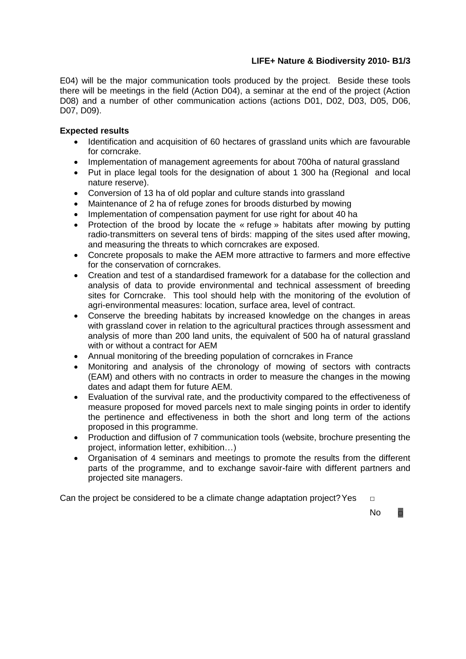E04) will be the major communication tools produced by the project. Beside these tools there will be meetings in the field (Action D04), a seminar at the end of the project (Action D08) and a number of other communication actions (actions D01, D02, D03, D05, D06, D07, D09).

# **Expected results**

- Identification and acquisition of 60 hectares of grassland units which are favourable for corncrake.
- Implementation of management agreements for about 700ha of natural grassland
- Put in place legal tools for the designation of about 1 300 ha (Regional and local nature reserve).
- Conversion of 13 ha of old poplar and culture stands into grassland
- Maintenance of 2 ha of refuge zones for broods disturbed by mowing
- Implementation of compensation payment for use right for about 40 ha
- Protection of the brood by locate the « refuge » habitats after mowing by putting radio-transmitters on several tens of birds: mapping of the sites used after mowing, and measuring the threats to which corncrakes are exposed.
- Concrete proposals to make the AEM more attractive to farmers and more effective for the conservation of corncrakes.
- Creation and test of a standardised framework for a database for the collection and analysis of data to provide environmental and technical assessment of breeding sites for Corncrake. This tool should help with the monitoring of the evolution of agri-environmental measures: location, surface area, level of contract.
- Conserve the breeding habitats by increased knowledge on the changes in areas with grassland cover in relation to the agricultural practices through assessment and analysis of more than 200 land units, the equivalent of 500 ha of natural grassland with or without a contract for AEM
- Annual monitoring of the breeding population of corncrakes in France
- Monitoring and analysis of the chronology of mowing of sectors with contracts (EAM) and others with no contracts in order to measure the changes in the mowing dates and adapt them for future AEM.
- Evaluation of the survival rate, and the productivity compared to the effectiveness of measure proposed for moved parcels next to male singing points in order to identify the pertinence and effectiveness in both the short and long term of the actions proposed in this programme.
- Production and diffusion of 7 communication tools (website, brochure presenting the project, information letter, exhibition…)
- Organisation of 4 seminars and meetings to promote the results from the different parts of the programme, and to exchange savoir-faire with different partners and projected site managers.

Can the project be considered to be a climate change adaptation project? Yes  $□$ 

 $\overline{\phantom{aa}}$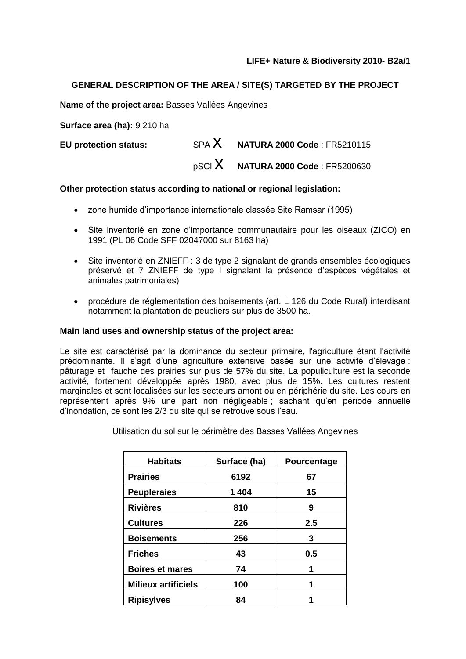# **GENERAL DESCRIPTION OF THE AREA / SITE(S) TARGETED BY THE PROJECT**

**Name of the project area:** Basses Vallées Angevines

**Surface area (ha):** 9 210 ha

**EU protection status:** SPA **X NATURA 2000 Code** : FR5210115 pSCI x **NATURA 2000 Code** : FR5200630

# **Other protection status according to national or regional legislation:**

- zone humide d'importance internationale classée Site Ramsar (1995)
- Site inventorié en zone d'importance communautaire pour les oiseaux (ZICO) en 1991 (PL 06 Code SFF 02047000 sur 8163 ha)
- Site inventorié en ZNIEFF : 3 de type 2 signalant de grands ensembles écologiques préservé et 7 ZNIEFF de type I signalant la présence d'espèces végétales et animales patrimoniales)
- procédure de réglementation des boisements (art. L 126 du Code Rural) interdisant notamment la plantation de peupliers sur plus de 3500 ha.

#### **Main land uses and ownership status of the project area:**

Le site est caractérisé par la dominance du secteur primaire, l'agriculture étant l'activité prédominante. Il s'agit d'une agriculture extensive basée sur une activité d'élevage : pâturage et fauche des prairies sur plus de 57% du site. La populiculture est la seconde activité, fortement développée après 1980, avec plus de 15%. Les cultures restent marginales et sont localisées sur les secteurs amont ou en périphérie du site. Les cours en représentent après 9% une part non négligeable ; sachant qu'en période annuelle d'inondation, ce sont les 2/3 du site qui se retrouve sous l'eau.

| <b>Habitats</b>            | Surface (ha) | Pourcentage |  |  |
|----------------------------|--------------|-------------|--|--|
| <b>Prairies</b>            | 6192         | 67          |  |  |
| <b>Peupleraies</b>         | 1404         | 15          |  |  |
| <b>Rivières</b>            | 810          | 9           |  |  |
| <b>Cultures</b>            | 226          | 2.5         |  |  |
| <b>Boisements</b>          | 256          | 3           |  |  |
| <b>Friches</b>             | 43           | 0.5         |  |  |
| <b>Boires et mares</b>     | 74           |             |  |  |
| <b>Milieux artificiels</b> | 100          | 1           |  |  |
| <b>Ripisylves</b>          | 84           |             |  |  |

Utilisation du sol sur le périmètre des Basses Vallées Angevines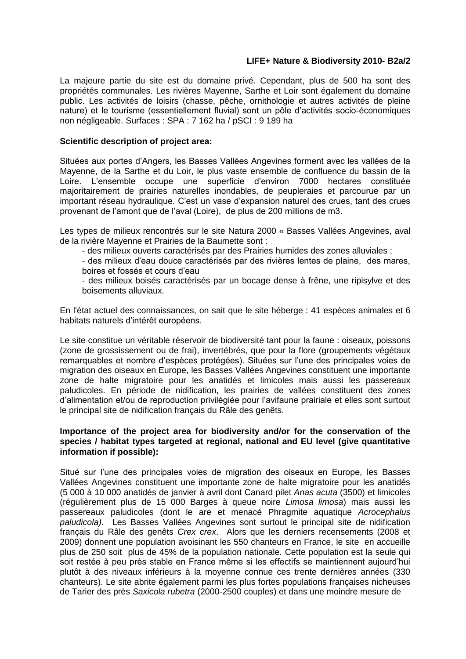La majeure partie du site est du domaine privé. Cependant, plus de 500 ha sont des propriétés communales. Les rivières Mayenne, Sarthe et Loir sont également du domaine public. Les activités de loisirs (chasse, pêche, ornithologie et autres activités de pleine nature) et le tourisme (essentiellement fluvial) sont un pôle d'activités socio-économiques non négligeable. Surfaces : SPA : 7 162 ha / pSCI : 9 189 ha

#### **Scientific description of project area:**

Situées aux portes d'Angers, les Basses Vallées Angevines forment avec les vallées de la Mayenne, de la Sarthe et du Loir, le plus vaste ensemble de confluence du bassin de la Loire. L'ensemble occupe une superficie d'environ 7000 hectares constituée majoritairement de prairies naturelles inondables, de peupleraies et parcourue par un important réseau hydraulique. C'est un vase d'expansion naturel des crues, tant des crues provenant de l'amont que de l'aval (Loire), de plus de 200 millions de m3.

Les types de milieux rencontrés sur le site Natura 2000 « Basses Vallées Angevines, aval de la rivière Mayenne et Prairies de la Baumette sont :

- des milieux ouverts caractérisés par des Prairies humides des zones alluviales ;

- des milieux d'eau douce caractérisés par des rivières lentes de plaine, des mares, boires et fossés et cours d'eau

- des milieux boisés caractérisés par un bocage dense à frêne, une ripisylve et des boisements alluviaux.

En l'état actuel des connaissances, on sait que le site héberge : 41 espèces animales et 6 habitats naturels d'intérêt européens.

Le site constitue un véritable réservoir de biodiversité tant pour la faune : oiseaux, poissons (zone de grossissement ou de frai), invertébrés, que pour la flore (groupements végétaux remarquables et nombre d'espèces protégées). Situées sur l'une des principales voies de migration des oiseaux en Europe, les Basses Vallées Angevines constituent une importante zone de halte migratoire pour les anatidés et limicoles mais aussi les passereaux paludicoles. En période de nidification, les prairies de vallées constituent des zones d'alimentation et/ou de reproduction privilégiée pour l'avifaune prairiale et elles sont surtout le principal site de nidification français du Râle des genêts.

# **Importance of the project area for biodiversity and/or for the conservation of the species / habitat types targeted at regional, national and EU level (give quantitative information if possible):**

Situé sur l'une des principales voies de migration des oiseaux en Europe, les Basses Vallées Angevines constituent une importante zone de halte migratoire pour les anatidés (5 000 à 10 000 anatidés de janvier à avril dont Canard pilet *Anas acuta* (3500) et limicoles (régulièrement plus de 15 000 Barges à queue noire *Limosa limosa*) mais aussi les passereaux paludicoles (dont le are et menacé Phragmite aquatique *Acrocephalus paludicola)*. Les Basses Vallées Angevines sont surtout le principal site de nidification français du Râle des genêts *Crex crex*. Alors que les derniers recensements (2008 et 2009) donnent une population avoisinant les 550 chanteurs en France, le site en accueille plus de 250 soit plus de 45% de la population nationale. Cette population est la seule qui soit restée à peu près stable en France même si les effectifs se maintiennent aujourd'hui plutôt à des niveaux inférieurs à la moyenne connue ces trente dernières années (330 chanteurs). Le site abrite également parmi les plus fortes populations françaises nicheuses de Tarier des près *Saxicola rubetra* (2000-2500 couples) et dans une moindre mesure de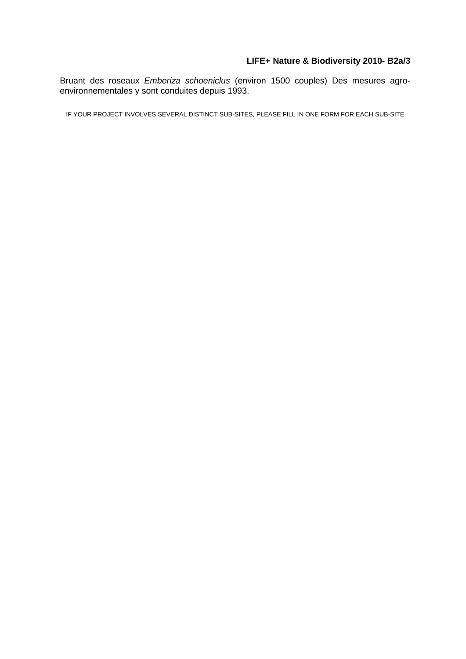Bruant des roseaux *Emberiza schoeniclus* (environ 1500 couples) Des mesures agroenvironnementales y sont conduites depuis 1993.

IF YOUR PROJECT INVOLVES SEVERAL DISTINCT SUB-SITES, PLEASE FILL IN ONE FORM FOR EACH SUB-SITE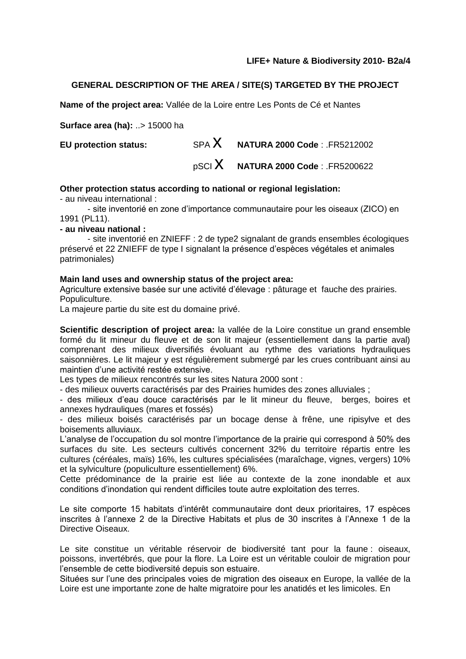# **GENERAL DESCRIPTION OF THE AREA / SITE(S) TARGETED BY THE PROJECT**

**Name of the project area:** Vallée de la Loire entre Les Ponts de Cé et Nantes

**Surface area (ha):** ..> 15000 ha

**EU protection status:** SPA **X NATURA 2000 Code** : .FR5212002 pSCI x **NATURA 2000 Code** : .FR5200622

#### **Other protection status according to national or regional legislation:**

- au niveau international :

- site inventorié en zone d'importance communautaire pour les oiseaux (ZICO) en 1991 (PL11).

**- au niveau national :**

- site inventorié en ZNIEFF : 2 de type2 signalant de grands ensembles écologiques préservé et 22 ZNIEFF de type I signalant la présence d'espèces végétales et animales patrimoniales)

#### **Main land uses and ownership status of the project area:**

Agriculture extensive basée sur une activité d'élevage : pâturage et fauche des prairies. Populiculture.

La majeure partie du site est du domaine privé.

**Scientific description of project area:** la vallée de la Loire constitue un grand ensemble formé du lit mineur du fleuve et de son lit majeur (essentiellement dans la partie aval) comprenant des milieux diversifiés évoluant au rythme des variations hydrauliques saisonnières. Le lit majeur y est régulièrement submergé par les crues contribuant ainsi au maintien d'une activité restée extensive.

Les types de milieux rencontrés sur les sites Natura 2000 sont :

- des milieux ouverts caractérisés par des Prairies humides des zones alluviales ;

- des milieux d'eau douce caractérisés par le lit mineur du fleuve, berges, boires et annexes hydrauliques (mares et fossés)

- des milieux boisés caractérisés par un bocage dense à frêne, une ripisylve et des boisements alluviaux.

L'analyse de l'occupation du sol montre l'importance de la prairie qui correspond à 50% des surfaces du site. Les secteurs cultivés concernent 32% du territoire répartis entre les cultures (céréales, maïs) 16%, les cultures spécialisées (maraîchage, vignes, vergers) 10% et la sylviculture (populiculture essentiellement) 6%.

Cette prédominance de la prairie est liée au contexte de la zone inondable et aux conditions d'inondation qui rendent difficiles toute autre exploitation des terres.

Le site comporte 15 habitats d'intérêt communautaire dont deux prioritaires, 17 espèces inscrites à l'annexe 2 de la Directive Habitats et plus de 30 inscrites à l'Annexe 1 de la Directive Oiseaux.

Le site constitue un véritable réservoir de biodiversité tant pour la faune : oiseaux, poissons, invertébrés, que pour la flore. La Loire est un véritable couloir de migration pour l'ensemble de cette biodiversité depuis son estuaire.

Situées sur l'une des principales voies de migration des oiseaux en Europe, la vallée de la Loire est une importante zone de halte migratoire pour les anatidés et les limicoles. En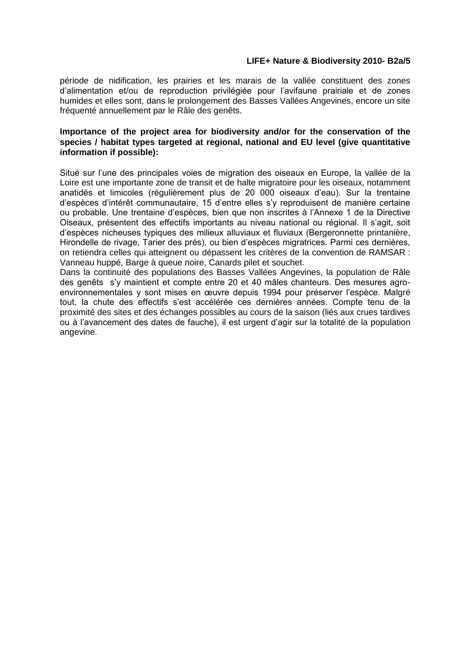période de nidification, les prairies et les marais de la vallée constituent des zones d'alimentation et/ou de reproduction privilégiée pour l'avifaune prairiale et de zones humides et elles sont, dans le prolongement des Basses Vallées Angevines, encore un site fréquenté annuellement par le Râle des genêts.

#### **Importance of the project area for biodiversity and/or for the conservation of the species / habitat types targeted at regional, national and EU level (give quantitative information if possible):**

Situé sur l'une des principales voies de migration des oiseaux en Europe, la vallée de la Loire est une importante zone de transit et de halte migratoire pour les oiseaux, notamment anatidés et limicoles (régulièrement plus de 20 000 oiseaux d'eau). Sur la trentaine d'espèces d'intérêt communautaire, 15 d'entre elles s'y reproduisent de manière certaine ou probable. Une trentaine d'espèces, bien que non inscrites à l'Annexe 1 de la Directive Oiseaux, présentent des effectifs importants au niveau national ou régional. Il s'agit, soit d'espèces nicheuses typiques des milieux alluviaux et fluviaux (Bergeronnette printanière, Hirondelle de rivage, Tarier des prés), ou bien d'espèces migratrices. Parmi ces dernières, on retiendra celles qui atteignent ou dépassent les critères de la convention de RAMSAR : Vanneau huppé, Barge à queue noire, Canards pilet et souchet.

Dans la continuité des populations des Basses Vallées Angevines, la population de Râle des genêts s'y maintient et compte entre 20 et 40 mâles chanteurs. Des mesures agroenvironnementales y sont mises en œuvre depuis 1994 pour préserver l'espèce. Malgré tout, la chute des effectifs s'est accélérée ces dernières années. Compte tenu de la proximité des sites et des échanges possibles au cours de la saison (liés aux crues tardives ou à l'avancement des dates de fauche), il est urgent d'agir sur la totalité de la population angevine.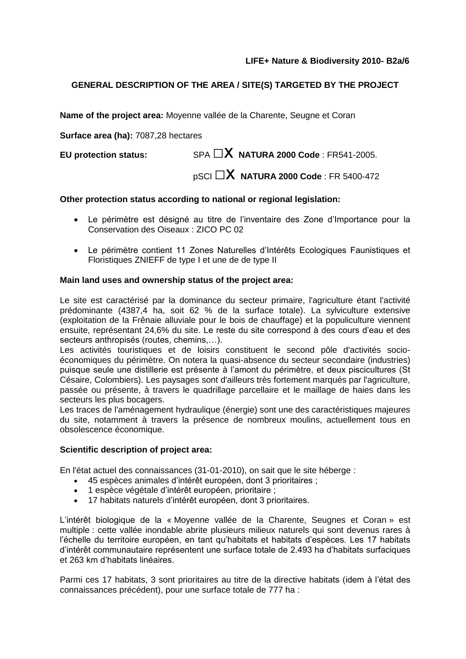# **GENERAL DESCRIPTION OF THE AREA / SITE(S) TARGETED BY THE PROJECT**

**Name of the project area:** Moyenne vallée de la Charente, Seugne et Coran

**Surface area (ha):** 7087,28 hectares

**EU protection status:** SPA  $\Box$ **X NATURA 2000 Code** : FR541-2005.

pSCI □x **NATURA 2000 Code** : FR 5400-472

# **Other protection status according to national or regional legislation:**

- Le périmètre est désigné au titre de l'inventaire des Zone d'Importance pour la Conservation des Oiseaux : ZICO PC 02
- Le périmètre contient 11 Zones Naturelles d'Intérêts Ecologiques Faunistiques et Floristiques ZNIEFF de type I et une de de type II

# **Main land uses and ownership status of the project area:**

Le site est caractérisé par la dominance du secteur primaire, l'agriculture étant l'activité prédominante (4387,4 ha, soit 62 % de la surface totale). La sylviculture extensive (exploitation de la Frênaie alluviale pour le bois de chauffage) et la populiculture viennent ensuite, représentant 24,6% du site. Le reste du site correspond à des cours d'eau et des secteurs anthropisés (routes, chemins,…).

Les activités touristiques et de loisirs constituent le second pôle d'activités socioéconomiques du périmètre. On notera la quasi-absence du secteur secondaire (industries) puisque seule une distillerie est présente à l'amont du périmètre, et deux piscicultures (St Césaire, Colombiers). Les paysages sont d'ailleurs très fortement marqués par l'agriculture, passée ou présente, à travers le quadrillage parcellaire et le maillage de haies dans les secteurs les plus bocagers.

Les traces de l'aménagement hydraulique (énergie) sont une des caractéristiques majeures du site, notamment à travers la présence de nombreux moulins, actuellement tous en obsolescence économique.

# **Scientific description of project area:**

En l'état actuel des connaissances (31-01-2010), on sait que le site héberge :

- 45 espèces animales d'intérêt européen, dont 3 prioritaires ;
- 1 espèce végétale d'intérêt européen, prioritaire ;
- 17 habitats naturels d'intérêt européen, dont 3 prioritaires.

L'intérêt biologique de la « Moyenne vallée de la Charente, Seugnes et Coran » est multiple : cette vallée inondable abrite plusieurs milieux naturels qui sont devenus rares à l'échelle du territoire européen, en tant qu'habitats et habitats d'espèces. Les 17 habitats d'intérêt communautaire représentent une surface totale de 2.493 ha d'habitats surfaciques et 263 km d'habitats linéaires.

Parmi ces 17 habitats, 3 sont prioritaires au titre de la directive habitats (idem à l'état des connaissances précédent), pour une surface totale de 777 ha :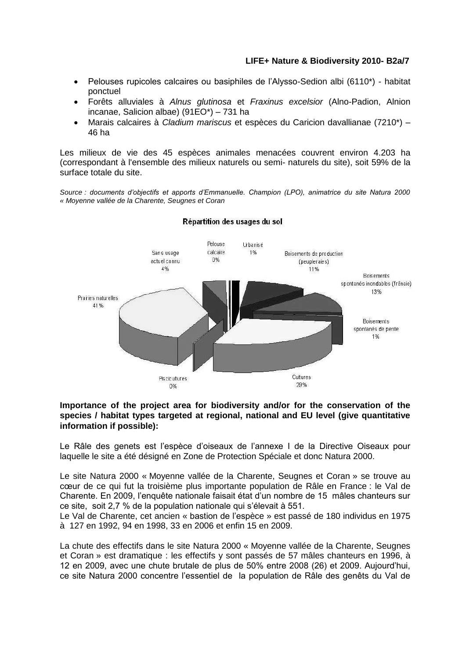- Pelouses rupicoles calcaires ou basiphiles de l'Alysso-Sedion albi (6110\*) habitat ponctuel
- Forêts alluviales à *Alnus glutinosa* et *Fraxinus excelsior* (Alno-Padion, Alnion incanae, Salicion albae) (91EO\*) – 731 ha
- Marais calcaires à *Cladium mariscus* et espèces du Caricion davallianae (7210\*) 46 ha

Les milieux de vie des 45 espèces animales menacées couvrent environ 4.203 ha (correspondant à l'ensemble des milieux naturels ou semi- naturels du site), soit 59% de la surface totale du site.

*Source : documents d'objectifs et apports d'Emmanuelle. Champion (LPO), animatrice du site Natura 2000 « Moyenne vallée de la Charente, Seugnes et Coran*



#### Répartition des usages du sol

#### **Importance of the project area for biodiversity and/or for the conservation of the species / habitat types targeted at regional, national and EU level (give quantitative information if possible):**

Le Râle des genets est l'espèce d'oiseaux de l'annexe I de la Directive Oiseaux pour laquelle le site a été désigné en Zone de Protection Spéciale et donc Natura 2000.

Le site Natura 2000 « Moyenne vallée de la Charente, Seugnes et Coran » se trouve au cœur de ce qui fut la troisième plus importante population de Râle en France : le Val de Charente. En 2009, l'enquête nationale faisait état d'un nombre de 15 mâles chanteurs sur ce site, soit 2,7 % de la population nationale qui s'élevait à 551.

Le Val de Charente, cet ancien « bastion de l'espèce » est passé de 180 individus en 1975 à 127 en 1992, 94 en 1998, 33 en 2006 et enfin 15 en 2009.

La chute des effectifs dans le site Natura 2000 « Moyenne vallée de la Charente, Seugnes et Coran » est dramatique : les effectifs y sont passés de 57 mâles chanteurs en 1996, à 12 en 2009, avec une chute brutale de plus de 50% entre 2008 (26) et 2009. Aujourd'hui, ce site Natura 2000 concentre l'essentiel de la population de Râle des genêts du Val de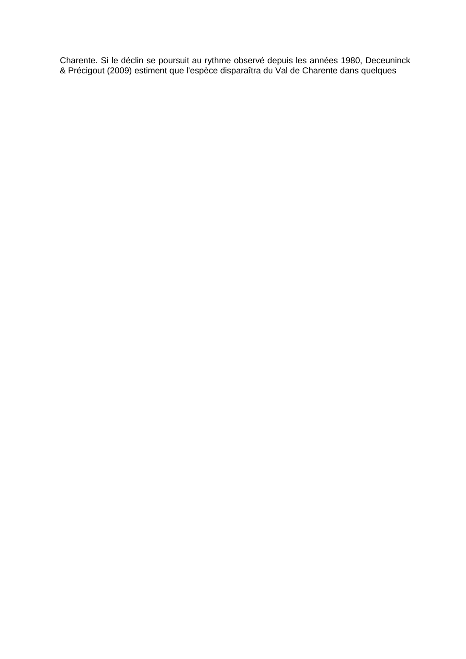Charente. Si le déclin se poursuit au rythme observé depuis les années 1980, Deceuninck & Précigout (2009) estiment que l'espèce disparaîtra du Val de Charente dans quelques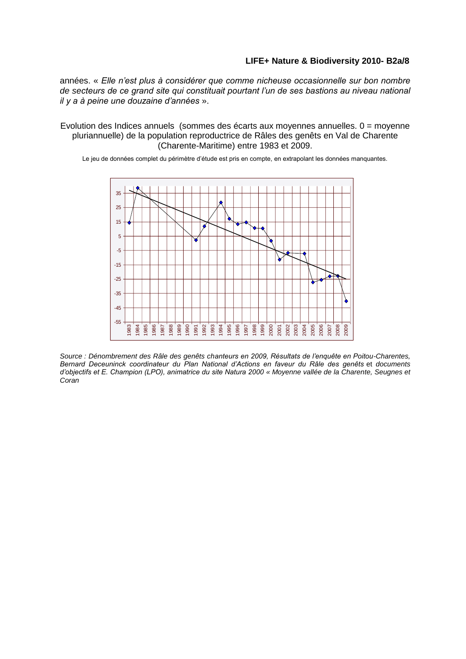années. « *Elle n'est plus à considérer que comme nicheuse occasionnelle sur bon nombre de secteurs de ce grand site qui constituait pourtant l'un de ses bastions au niveau national il y a à peine une douzaine d'années* ».

Evolution des Indices annuels (sommes des écarts aux moyennes annuelles. 0 = moyenne pluriannuelle) de la population reproductrice de Râles des genêts en Val de Charente (Charente-Maritime) entre 1983 et 2009.

Le jeu de données complet du périmètre d'étude est pris en compte, en extrapolant les données manquantes.



*Source : Dénombrement des Râle des genêts chanteurs en 2009, Résultats de l'enquête en Poitou-Charentes, Bernard Deceuninck coordinateur du Plan National d'Actions en faveur du Râle des genêts* et *documents d'objectifs et E. Champion (LPO), animatrice du site Natura 2000 « Moyenne vallée de la Charente, Seugnes et Coran*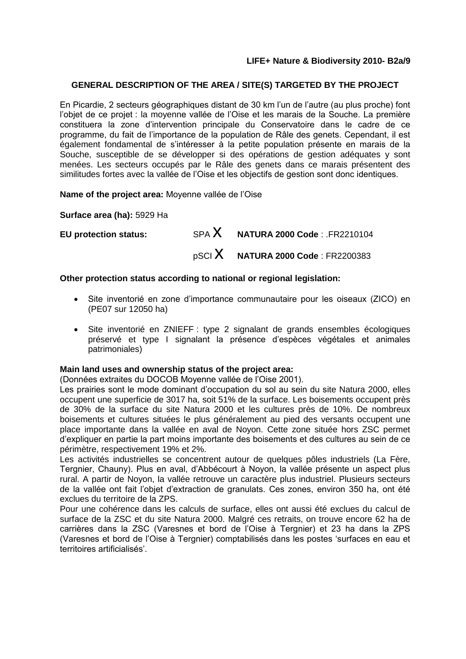# **GENERAL DESCRIPTION OF THE AREA / SITE(S) TARGETED BY THE PROJECT**

En Picardie, 2 secteurs géographiques distant de 30 km l'un de l'autre (au plus proche) font l'objet de ce projet : la moyenne vallée de l'Oise et les marais de la Souche. La première constituera la zone d'intervention principale du Conservatoire dans le cadre de ce programme, du fait de l'importance de la population de Râle des genets. Cependant, il est également fondamental de s'intéresser à la petite population présente en marais de la Souche, susceptible de se développer si des opérations de gestion adéquates y sont menées. Les secteurs occupés par le Râle des genets dans ce marais présentent des similitudes fortes avec la vallée de l'Oise et les objectifs de gestion sont donc identiques.

**Name of the project area:** Moyenne vallée de l'Oise

**Surface area (ha):** 5929 Ha

| <b>EU protection status:</b> | $SPA X$ NATURA 2000 Code: FR2210104             |
|------------------------------|-------------------------------------------------|
|                              | $_{\text{p}SCI}$ X NATURA 2000 Code : FR2200383 |

#### **Other protection status according to national or regional legislation:**

- Site inventorié en zone d'importance communautaire pour les oiseaux (ZICO) en (PE07 sur 12050 ha)
- Site inventorié en ZNIEFF : type 2 signalant de grands ensembles écologiques préservé et type I signalant la présence d'espèces végétales et animales patrimoniales)

#### **Main land uses and ownership status of the project area:**

(Données extraites du DOCOB Moyenne vallée de l'Oise 2001).

Les prairies sont le mode dominant d'occupation du sol au sein du site Natura 2000, elles occupent une superficie de 3017 ha, soit 51% de la surface. Les boisements occupent près de 30% de la surface du site Natura 2000 et les cultures près de 10%. De nombreux boisements et cultures situées le plus généralement au pied des versants occupent une place importante dans la vallée en aval de Noyon. Cette zone située hors ZSC permet d'expliquer en partie la part moins importante des boisements et des cultures au sein de ce périmètre, respectivement 19% et 2%.

Les activités industrielles se concentrent autour de quelques pôles industriels (La Fère, Tergnier, Chauny). Plus en aval, d'Abbécourt à Noyon, la vallée présente un aspect plus rural. A partir de Noyon, la vallée retrouve un caractère plus industriel. Plusieurs secteurs de la vallée ont fait l'objet d'extraction de granulats. Ces zones, environ 350 ha, ont été exclues du territoire de la ZPS.

Pour une cohérence dans les calculs de surface, elles ont aussi été exclues du calcul de surface de la ZSC et du site Natura 2000. Malgré ces retraits, on trouve encore 62 ha de carrières dans la ZSC (Varesnes et bord de l'Oise à Tergnier) et 23 ha dans la ZPS (Varesnes et bord de l'Oise à Tergnier) comptabilisés dans les postes 'surfaces en eau et territoires artificialisés'.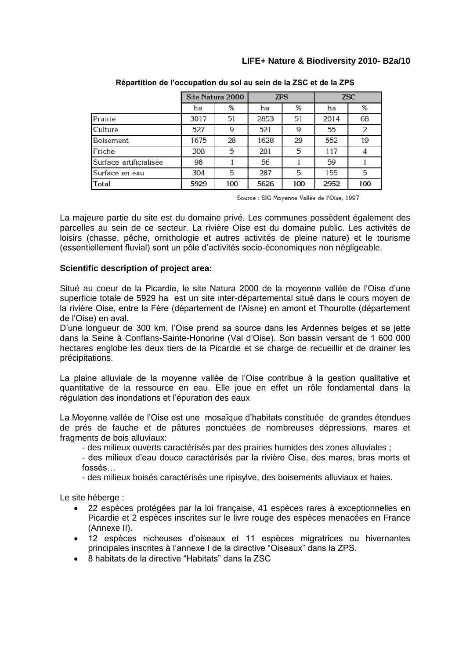|                        | Site Natura 2000 |     | <b>ZPS</b> |     | <b>ZSC</b> |     |
|------------------------|------------------|-----|------------|-----|------------|-----|
|                        | ha               | ℅   | ha         | ℅   | ha         | %   |
| Prairie                | 3017             | 51  | 2853       | 51  | 2014       | 68  |
| Culture                | 527              | 9   | 521        | 9   | 55         | 2   |
| <b>Boisement</b>       | 1675             | 28  | 1628       | 29  | 552        | 19  |
| Friche                 | 308              | 5   | 281        | 5   | 117        |     |
| Surface artificialisée | 98               |     | 56         |     | 59         |     |
| Surface en eau         | 304              | 5   | 287        | 5   | 155        | 5   |
| <b>Total</b>           | 5929             | 100 | 5626       | 100 | 2952       | 100 |

**Répartition de l'occupation du sol au sein de la ZSC et de la ZPS**

Source : SIG Moyenne Vallée de l'Oise, 1997

La majeure partie du site est du domaine privé. Les communes possèdent également des parcelles au sein de ce secteur. La rivière Oise est du domaine public. Les activités de loisirs (chasse, pêche, ornithologie et autres activités de pleine nature) et le tourisme (essentiellement fluvial) sont un pôle d'activités socio-économiques non négligeable.

#### **Scientific description of project area:**

Situé au coeur de la Picardie, le site Natura 2000 de la moyenne vallée de l'Oise d'une superficie totale de 5929 ha est un site inter-départemental situé dans le cours moyen de la rivière Oise, entre la Fère (département de l'Aisne) en amont et Thourotte (département de l'Oise) en aval.

D'une longueur de 300 km, l'Oise prend sa source dans les Ardennes belges et se jette dans la Seine à Conflans-Sainte-Honorine (Val d'Oise). Son bassin versant de 1 600 000 hectares englobe les deux tiers de la Picardie et se charge de recueillir et de drainer les précipitations.

La plaine alluviale de la moyenne vallée de l'Oise contribue à la gestion qualitative et quantitative de la ressource en eau. Elle joue en effet un rôle fondamental dans la régulation des inondations et l'épuration des eaux

La Moyenne vallée de l'Oise est une mosaïque d'habitats constituée de grandes étendues de prés de fauche et de pâtures ponctuées de nombreuses dépressions, mares et fragments de bois alluviaux:

- des milieux ouverts caractérisés par des prairies humides des zones alluviales ;
- des milieux d'eau douce caractérisés par la rivière Oise, des mares, bras morts et fossés…
- des milieux boisés caractérisés une ripisylve, des boisements alluviaux et haies.

Le site héberge :

- 22 espèces protégées par la loi française, 41 espèces rares à exceptionnelles en Picardie et 2 espèces inscrites sur le livre rouge des espèces menacées en France (Annexe II).
- 12 espèces nicheuses d'oiseaux et 11 espèces migratrices ou hivernantes principales inscrites à l'annexe I de la directive "Oiseaux" dans la ZPS.
- 8 habitats de la directive "Habitats" dans la ZSC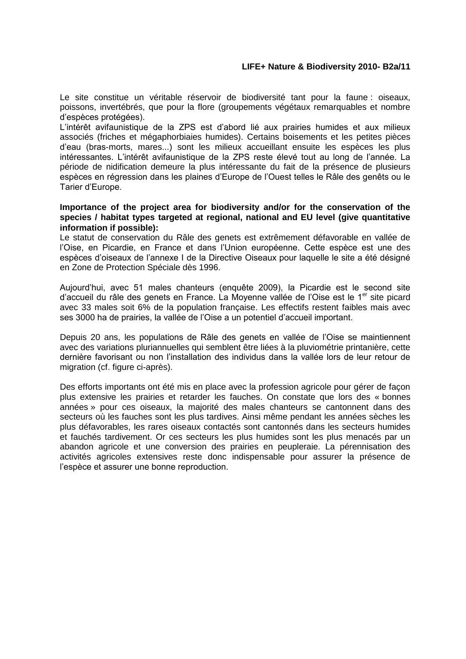Le site constitue un véritable réservoir de biodiversité tant pour la faune : oiseaux, poissons, invertébrés, que pour la flore (groupements végétaux remarquables et nombre d'espèces protégées).

L'intérêt avifaunistique de la ZPS est d'abord lié aux prairies humides et aux milieux associés (friches et mégaphorbiaies humides). Certains boisements et les petites pièces d'eau (bras-morts, mares...) sont les milieux accueillant ensuite les espèces les plus intéressantes. L'intérêt avifaunistique de la ZPS reste élevé tout au long de l'année. La période de nidification demeure la plus intéressante du fait de la présence de plusieurs espèces en régression dans les plaines d'Europe de l'Ouest telles le Râle des genêts ou le Tarier d'Europe.

#### **Importance of the project area for biodiversity and/or for the conservation of the species / habitat types targeted at regional, national and EU level (give quantitative information if possible):**

Le statut de conservation du Râle des genets est extrêmement défavorable en vallée de l'Oise, en Picardie, en France et dans l'Union européenne. Cette espèce est une des espèces d'oiseaux de l'annexe I de la Directive Oiseaux pour laquelle le site a été désigné en Zone de Protection Spéciale dès 1996.

Aujourd'hui, avec 51 males chanteurs (enquête 2009), la Picardie est le second site d'accueil du râle des genets en France. La Moyenne vallée de l'Oise est le 1<sup>er</sup> site picard avec 33 males soit 6% de la population française. Les effectifs restent faibles mais avec ses 3000 ha de prairies, la vallée de l'Oise a un potentiel d'accueil important.

Depuis 20 ans, les populations de Râle des genets en vallée de l'Oise se maintiennent avec des variations pluriannuelles qui semblent être liées à la pluviométrie printanière, cette dernière favorisant ou non l'installation des individus dans la vallée lors de leur retour de migration (cf. figure ci-après).

Des efforts importants ont été mis en place avec la profession agricole pour gérer de façon plus extensive les prairies et retarder les fauches. On constate que lors des « bonnes années » pour ces oiseaux, la majorité des males chanteurs se cantonnent dans des secteurs où les fauches sont les plus tardives. Ainsi même pendant les années sèches les plus défavorables, les rares oiseaux contactés sont cantonnés dans les secteurs humides et fauchés tardivement. Or ces secteurs les plus humides sont les plus menacés par un abandon agricole et une conversion des prairies en peupleraie. La pérennisation des activités agricoles extensives reste donc indispensable pour assurer la présence de l'espèce et assurer une bonne reproduction.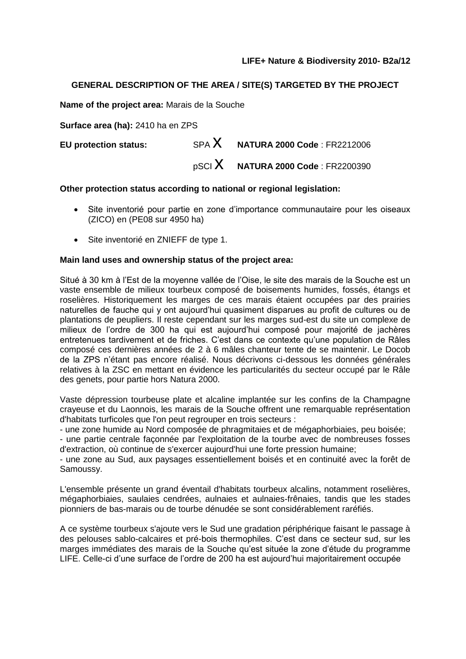# **GENERAL DESCRIPTION OF THE AREA / SITE(S) TARGETED BY THE PROJECT**

**Name of the project area:** Marais de la Souche

**Surface area (ha):** 2410 ha en ZPS

**EU protection status:** SPA X **NATURA 2000 Code** : FR2212006 pSCI x **NATURA 2000 Code** : FR2200390

#### **Other protection status according to national or regional legislation:**

- Site inventorié pour partie en zone d'importance communautaire pour les oiseaux (ZICO) en (PE08 sur 4950 ha)
- Site inventorié en ZNIEFF de type 1.

#### **Main land uses and ownership status of the project area:**

Situé à 30 km à l'Est de la moyenne vallée de l'Oise, le site des marais de la Souche est un vaste ensemble de milieux tourbeux composé de boisements humides, fossés, étangs et roselières. Historiquement les marges de ces marais étaient occupées par des prairies naturelles de fauche qui y ont aujourd'hui quasiment disparues au profit de cultures ou de plantations de peupliers. Il reste cependant sur les marges sud-est du site un complexe de milieux de l'ordre de 300 ha qui est aujourd'hui composé pour majorité de jachères entretenues tardivement et de friches. C'est dans ce contexte qu'une population de Râles composé ces dernières années de 2 à 6 mâles chanteur tente de se maintenir. Le Docob de la ZPS n'étant pas encore réalisé. Nous décrivons ci-dessous les données générales relatives à la ZSC en mettant en évidence les particularités du secteur occupé par le Râle des genets, pour partie hors Natura 2000.

Vaste dépression tourbeuse plate et alcaline implantée sur les confins de la Champagne crayeuse et du Laonnois, les marais de la Souche offrent une remarquable représentation d'habitats turficoles que l'on peut regrouper en trois secteurs :

- une zone humide au Nord composée de phragmitaies et de mégaphorbiaies, peu boisée;

- une partie centrale façonnée par l'exploitation de la tourbe avec de nombreuses fosses d'extraction, où continue de s'exercer aujourd'hui une forte pression humaine;

- une zone au Sud, aux paysages essentiellement boisés et en continuité avec la forêt de Samoussy.

L'ensemble présente un grand éventail d'habitats tourbeux alcalins, notamment roselières, mégaphorbiaies, saulaies cendrées, aulnaies et aulnaies-frênaies, tandis que les stades pionniers de bas-marais ou de tourbe dénudée se sont considérablement raréfiés.

A ce système tourbeux s'ajoute vers le Sud une gradation périphérique faisant le passage à des pelouses sablo-calcaires et pré-bois thermophiles. C'est dans ce secteur sud, sur les marges immédiates des marais de la Souche qu'est située la zone d'étude du programme LIFE. Celle-ci d'une surface de l'ordre de 200 ha est aujourd'hui majoritairement occupée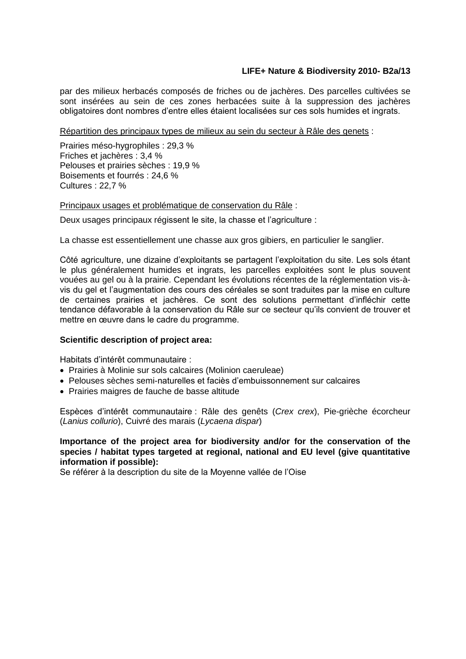par des milieux herbacés composés de friches ou de jachères. Des parcelles cultivées se sont insérées au sein de ces zones herbacées suite à la suppression des jachères obligatoires dont nombres d'entre elles étaient localisées sur ces sols humides et ingrats.

#### Répartition des principaux types de milieux au sein du secteur à Râle des genets :

Prairies méso-hygrophiles : 29,3 % Friches et jachères : 3,4 % Pelouses et prairies sèches : 19,9 % Boisements et fourrés : 24,6 % Cultures : 22,7 %

Principaux usages et problématique de conservation du Râle :

Deux usages principaux régissent le site, la chasse et l'agriculture :

La chasse est essentiellement une chasse aux gros gibiers, en particulier le sanglier.

Côté agriculture, une dizaine d'exploitants se partagent l'exploitation du site. Les sols étant le plus généralement humides et ingrats, les parcelles exploitées sont le plus souvent vouées au gel ou à la prairie. Cependant les évolutions récentes de la réglementation vis-àvis du gel et l'augmentation des cours des céréales se sont traduites par la mise en culture de certaines prairies et jachères. Ce sont des solutions permettant d'infléchir cette tendance défavorable à la conservation du Râle sur ce secteur qu'ils convient de trouver et mettre en œuvre dans le cadre du programme.

# **Scientific description of project area:**

Habitats d'intérêt communautaire :

- [Prairies à Molinie sur sols calcaires \(Molinion caeruleae\)](http://natura2000.ecologie.gouv.fr/habitats/HAB6410.html)
- [Pelouses sèches semi-naturelles et faciès d'embuissonnement sur calcaires](http://natura2000.ecologie.gouv.fr/habitats/HAB6210.html)
- [Prairies maigres de fauche de basse altitude](http://natura2000.ecologie.gouv.fr/habitats/HAB6510.html)

Espèces d'intérêt communautaire : [Râle des genêts](http://natura2000.ecologie.gouv.fr/especes/A122.html) (*Crex crex*), Pie-grièche écorcheur (*Lanius collurio*), [Cuivré des marais](http://natura2000.ecologie.gouv.fr/especes/1060.html) (*Lycaena dispar*)

# **Importance of the project area for biodiversity and/or for the conservation of the species / habitat types targeted at regional, national and EU level (give quantitative information if possible):**

Se référer à la description du site de la Moyenne vallée de l'Oise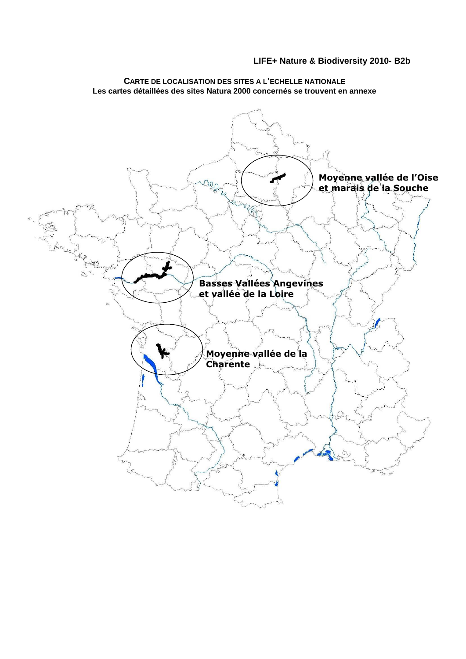

**CARTE DE LOCALISATION DES SITES A L'ECHELLE NATIONALE Les cartes détaillées des sites Natura 2000 concernés se trouvent en annexe**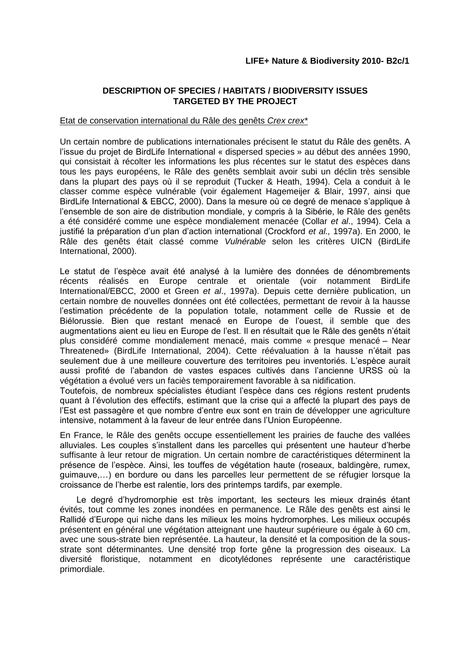# **DESCRIPTION OF SPECIES / HABITATS / BIODIVERSITY ISSUES TARGETED BY THE PROJECT**

#### Etat de conservation international du Râle des genêts *Crex crex\**

Un certain nombre de publications internationales précisent le statut du Râle des genêts. A l'issue du projet de BirdLife International « dispersed species » au début des années 1990, qui consistait à récolter les informations les plus récentes sur le statut des espèces dans tous les pays européens, le Râle des genêts semblait avoir subi un déclin très sensible dans la plupart des pays où il se reproduit (Tucker & Heath, 1994). Cela a conduit à le classer comme espèce vulnérable (voir également Hagemeijer & Blair, 1997, ainsi que BirdLife International & EBCC, 2000). Dans la mesure où ce degré de menace s'applique à l'ensemble de son aire de distribution mondiale, y compris à la Sibérie, le Râle des genêts a été considéré comme une espèce mondialement menacée (Collar *et al*., 1994). Cela a justifié la préparation d'un plan d'action international (Crockford *et al.,* 1997a). En 2000, le Râle des genêts était classé comme *Vulnérable* selon les critères UICN (BirdLife International, 2000).

Le statut de l'espèce avait été analysé à la lumière des données de dénombrements récents réalisés en Europe centrale et orientale (voir notamment BirdLife International/EBCC, 2000 et Green *et al*., 1997a). Depuis cette dernière publication, un certain nombre de nouvelles données ont été collectées, permettant de revoir à la hausse l'estimation précédente de la population totale, notamment celle de Russie et de Biélorussie. Bien que restant menacé en Europe de l'ouest, il semble que des augmentations aient eu lieu en Europe de l'est. Il en résultait que le Râle des genêts n'était plus considéré comme mondialement menacé, mais comme « presque menacé – Near Threatened» (BirdLife International, 2004). Cette réévaluation à la hausse n'était pas seulement due à une meilleure couverture des territoires peu inventoriés. L'espèce aurait aussi profité de l'abandon de vastes espaces cultivés dans l'ancienne URSS où la végétation a évolué vers un faciès temporairement favorable à sa nidification.

Toutefois, de nombreux spécialistes étudiant l'espèce dans ces régions restent prudents quant à l'évolution des effectifs, estimant que la crise qui a affecté la plupart des pays de l'Est est passagère et que nombre d'entre eux sont en train de développer une agriculture intensive, notamment à la faveur de leur entrée dans l'Union Européenne.

En France, le Râle des genêts occupe essentiellement les prairies de fauche des vallées alluviales. Les couples s'installent dans les parcelles qui présentent une hauteur d'herbe suffisante à leur retour de migration. Un certain nombre de caractéristiques déterminent la présence de l'espèce. Ainsi, les touffes de végétation haute (roseaux, baldingère, rumex, guimauve,…) en bordure ou dans les parcelles leur permettent de se réfugier lorsque la croissance de l'herbe est ralentie, lors des printemps tardifs, par exemple.

Le degré d'hydromorphie est très important, les secteurs les mieux drainés étant évités, tout comme les zones inondées en permanence. Le Râle des genêts est ainsi le Rallidé d'Europe qui niche dans les milieux les moins hydromorphes. Les milieux occupés présentent en général une végétation atteignant une hauteur supérieure ou égale à 60 cm, avec une sous-strate bien représentée. La hauteur, la densité et la composition de la sousstrate sont déterminantes. Une densité trop forte gêne la progression des oiseaux. La diversité floristique, notamment en dicotylédones représente une caractéristique primordiale.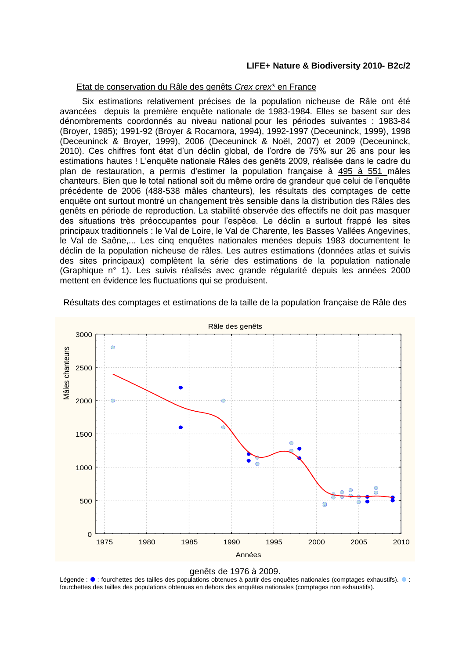#### Etat de conservation du Râle des genêts *Crex crex\** en France

Six estimations relativement précises de la population nicheuse de Râle ont été avancées depuis la première enquête nationale de 1983-1984. Elles se basent sur des dénombrements coordonnés au niveau national pour les périodes suivantes : 1983-84 (Broyer, 1985); 1991-92 (Broyer & Rocamora, 1994), 1992-1997 (Deceuninck, 1999), 1998 (Deceuninck & Broyer, 1999), 2006 (Deceuninck & Noël, 2007) et 2009 (Deceuninck, 2010). Ces chiffres font état d'un déclin global, de l'ordre de 75% sur 26 ans pour les estimations hautes ! L'enquête nationale Râles des genêts 2009, réalisée dans le cadre du plan de restauration, a permis d'estimer la population française à 495 à 551 mâles chanteurs. Bien que le total national soit du même ordre de grandeur que celui de l'enquête précédente de 2006 (488-538 mâles chanteurs), les résultats des comptages de cette enquête ont surtout montré un changement très sensible dans la distribution des Râles des genêts en période de reproduction. La stabilité observée des effectifs ne doit pas masquer des situations très préoccupantes pour l'espèce. Le déclin a surtout frappé les sites principaux traditionnels : le Val de Loire, le Val de Charente, les Basses Vallées Angevines, le Val de Saône,... Les cinq enquêtes nationales menées depuis 1983 documentent le déclin de la population nicheuse de râles. Les autres estimations (données atlas et suivis des sites principaux) complètent la série des estimations de la population nationale (Graphique n° 1). Les suivis réalisés avec grande régularité depuis les années 2000 mettent en évidence les fluctuations qui se produisent.



Résultats des comptages et estimations de la taille de la population française de Râle des

#### genêts de 1976 à 2009.

Légende :  $\bullet$  : fourchettes des tailles des populations obtenues à partir des enquêtes nationales (comptages exhaustifs).  $\bullet$  : fourchettes des tailles des populations obtenues en dehors des enquêtes nationales (comptages non exhaustifs).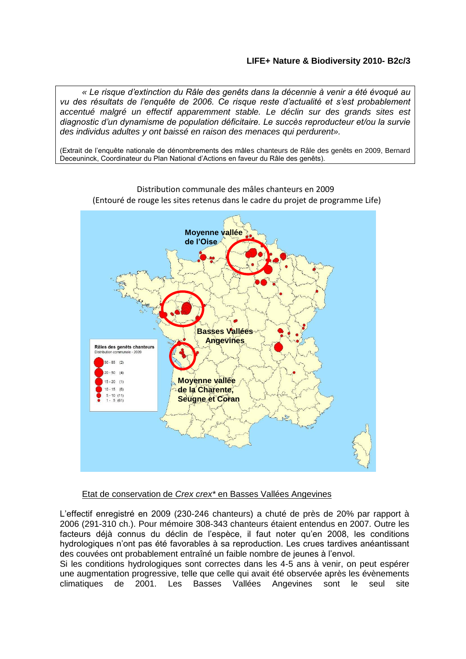*« Le risque d'extinction du Râle des genêts dans la décennie à venir a été évoqué au vu des résultats de l'enquête de 2006. Ce risque reste d'actualité et s'est probablement accentué malgré un effectif apparemment stable. Le déclin sur des grands sites est diagnostic d'un dynamisme de population déficitaire. Le succès reproducteur et/ou la survie des individus adultes y ont baissé en raison des menaces qui perdurent».*

(Extrait de l'enquête nationale de dénombrements des mâles chanteurs de Râle des genêts en 2009, Bernard Deceuninck, Coordinateur du Plan National d'Actions en faveur du Râle des genêts).



Distribution communale des mâles chanteurs en 2009 (Entouré de rouge les sites retenus dans le cadre du projet de programme Life)

# Etat de conservation de *Crex crex\** en Basses Vallées Angevines

L'effectif enregistré en 2009 (230-246 chanteurs) a chuté de près de 20% par rapport à 2006 (291-310 ch.). Pour mémoire 308-343 chanteurs étaient entendus en 2007. Outre les facteurs déjà connus du déclin de l'espèce, il faut noter qu'en 2008, les conditions hydrologiques n'ont pas été favorables à sa reproduction. Les crues tardives anéantissant des couvées ont probablement entraîné un faible nombre de jeunes à l'envol.

Si les conditions hydrologiques sont correctes dans les 4-5 ans à venir, on peut espérer une augmentation progressive, telle que celle qui avait été observée après les évènements climatiques de 2001. Les Basses Vallées Angevines sont le seul site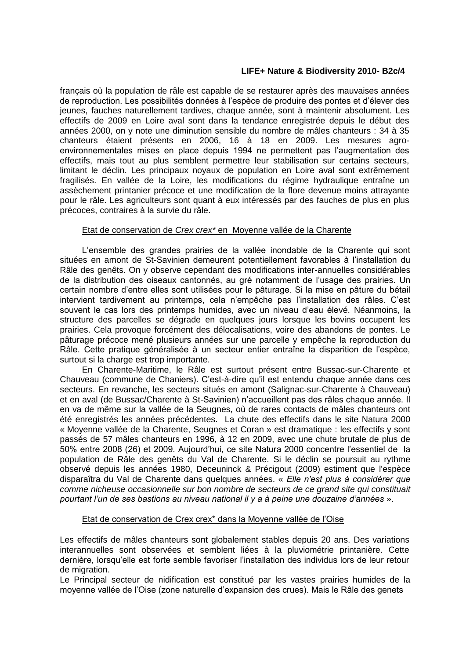français où la population de râle est capable de se restaurer après des mauvaises années de reproduction. Les possibilités données à l'espèce de produire des pontes et d'élever des jeunes, fauches naturellement tardives, chaque année, sont à maintenir absolument. Les effectifs de 2009 en Loire aval sont dans la tendance enregistrée depuis le début des années 2000, on y note une diminution sensible du nombre de mâles chanteurs : 34 à 35 chanteurs étaient présents en 2006, 16 à 18 en 2009. Les mesures agroenvironnementales mises en place depuis 1994 ne permettent pas l'augmentation des effectifs, mais tout au plus semblent permettre leur stabilisation sur certains secteurs, limitant le déclin. Les principaux noyaux de population en Loire aval sont extrêmement fragilisés. En vallée de la Loire, les modifications du régime hydraulique entraîne un assèchement printanier précoce et une modification de la flore devenue moins attrayante pour le râle. Les agriculteurs sont quant à eux intéressés par des fauches de plus en plus précoces, contraires à la survie du râle.

#### Etat de conservation de *Crex crex\** enMoyenne vallée de la Charente

L'ensemble des grandes prairies de la vallée inondable de la Charente qui sont situées en amont de St-Savinien demeurent potentiellement favorables à l'installation du Râle des genêts. On y observe cependant des modifications inter-annuelles considérables de la distribution des oiseaux cantonnés, au gré notamment de l'usage des prairies. Un certain nombre d'entre elles sont utilisées pour le pâturage. Si la mise en pâture du bétail intervient tardivement au printemps, cela n'empêche pas l'installation des râles. C'est souvent le cas lors des printemps humides, avec un niveau d'eau élevé. Néanmoins, la structure des parcelles se dégrade en quelques jours lorsque les bovins occupent les prairies. Cela provoque forcément des délocalisations, voire des abandons de pontes. Le pâturage précoce mené plusieurs années sur une parcelle y empêche la reproduction du Râle. Cette pratique généralisée à un secteur entier entraîne la disparition de l'espèce, surtout si la charge est trop importante.

En Charente-Maritime, le Râle est surtout présent entre Bussac-sur-Charente et Chauveau (commune de Chaniers). C'est-à-dire qu'il est entendu chaque année dans ces secteurs. En revanche, les secteurs situés en amont (Salignac-sur-Charente à Chauveau) et en aval (de Bussac/Charente à St-Savinien) n'accueillent pas des râles chaque année. Il en va de même sur la vallée de la Seugnes, où de rares contacts de mâles chanteurs ont été enregistrés les années précédentes. La chute des effectifs dans le site Natura 2000 « Moyenne vallée de la Charente, Seugnes et Coran » est dramatique : les effectifs y sont passés de 57 mâles chanteurs en 1996, à 12 en 2009, avec une chute brutale de plus de 50% entre 2008 (26) et 2009. Aujourd'hui, ce site Natura 2000 concentre l'essentiel de la population de Râle des genêts du Val de Charente. Si le déclin se poursuit au rythme observé depuis les années 1980, Deceuninck & Précigout (2009) estiment que l'espèce disparaîtra du Val de Charente dans quelques années. « *Elle n'est plus à considérer que comme nicheuse occasionnelle sur bon nombre de secteurs de ce grand site qui constituait pourtant l'un de ses bastions au niveau national il y a à peine une douzaine d'années* ».

#### Etat de conservation de Crex crex\* dans la Moyenne vallée de l'Oise

Les effectifs de mâles chanteurs sont globalement stables depuis 20 ans. Des variations interannuelles sont observées et semblent liées à la pluviométrie printanière. Cette dernière, lorsqu'elle est forte semble favoriser l'installation des individus lors de leur retour de migration.

Le Principal secteur de nidification est constitué par les vastes prairies humides de la moyenne vallée de l'Oise (zone naturelle d'expansion des crues). Mais le Râle des genets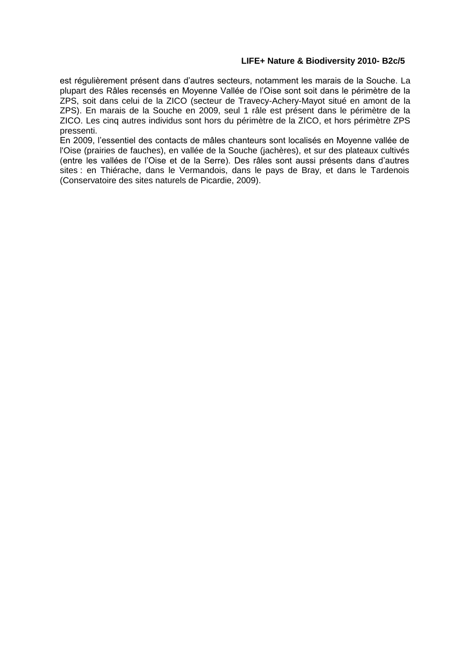est régulièrement présent dans d'autres secteurs, notamment les marais de la Souche. La plupart des Râles recensés en Moyenne Vallée de l'Oise sont soit dans le périmètre de la ZPS, soit dans celui de la ZICO (secteur de Travecy-Achery-Mayot situé en amont de la ZPS). En marais de la Souche en 2009, seul 1 râle est présent dans le périmètre de la ZICO. Les cinq autres individus sont hors du périmètre de la ZICO, et hors périmètre ZPS pressenti.

En 2009, l'essentiel des contacts de mâles chanteurs sont localisés en Moyenne vallée de l'Oise (prairies de fauches), en vallée de la Souche (jachères), et sur des plateaux cultivés (entre les vallées de l'Oise et de la Serre). Des râles sont aussi présents dans d'autres sites : en Thiérache, dans le Vermandois, dans le pays de Bray, et dans le Tardenois (Conservatoire des sites naturels de Picardie, 2009).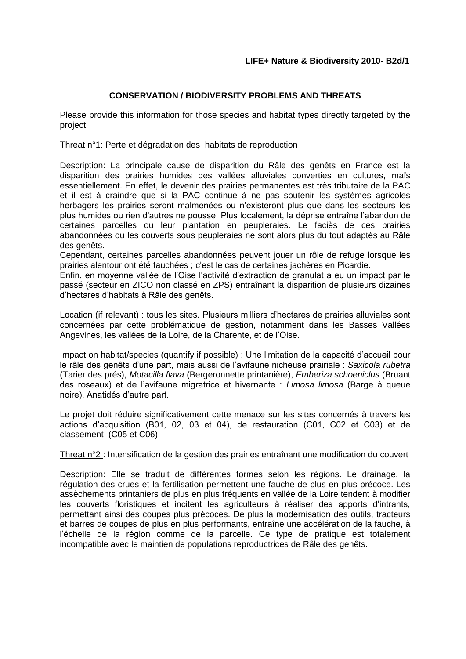# **CONSERVATION / BIODIVERSITY PROBLEMS AND THREATS**

Please provide this information for those species and habitat types directly targeted by the project

Threat n°1: Perte et dégradation des habitats de reproduction

Description: La principale cause de disparition du Râle des genêts en France est la disparition des prairies humides des vallées alluviales converties en cultures, maïs essentiellement. En effet, le devenir des prairies permanentes est très tributaire de la PAC et il est à craindre que si la PAC continue à ne pas soutenir les systèmes agricoles herbagers les prairies seront malmenées ou n'existeront plus que dans les secteurs les plus humides ou rien d'autres ne pousse. Plus localement, la déprise entraîne l'abandon de certaines parcelles ou leur plantation en peupleraies. Le faciès de ces prairies abandonnées ou les couverts sous peupleraies ne sont alors plus du tout adaptés au Râle des genêts.

Cependant, certaines parcelles abandonnées peuvent jouer un rôle de refuge lorsque les prairies alentour ont été fauchées ; c'est le cas de certaines jachères en Picardie.

Enfin, en moyenne vallée de l'Oise l'activité d'extraction de granulat a eu un impact par le passé (secteur en ZICO non classé en ZPS) entraînant la disparition de plusieurs dizaines d'hectares d'habitats à Râle des genêts.

Location (if relevant) : tous les sites. Plusieurs milliers d'hectares de prairies alluviales sont concernées par cette problématique de gestion, notamment dans les Basses Vallées Angevines, les vallées de la Loire, de la Charente, et de l'Oise.

Impact on habitat/species (quantify if possible) : Une limitation de la capacité d'accueil pour le râle des genêts d'une part, mais aussi de l'avifaune nicheuse prairiale : *Saxicola rubetra* (Tarier des prés), *Motacilla flava* (Bergeronnette printanière), *Emberiza schoeniclus* (Bruant des roseaux) et de l'avifaune migratrice et hivernante : *Limosa limosa* (Barge à queue noire), Anatidés d'autre part.

Le projet doit réduire significativement cette menace sur les sites concernés à travers les actions d'acquisition (B01, 02, 03 et 04), de restauration (C01, C02 et C03) et de classement (C05 et C06).

Threat n°2 : Intensification de la gestion des prairies entraînant une modification du couvert

Description: Elle se traduit de différentes formes selon les régions. Le drainage, la régulation des crues et la fertilisation permettent une fauche de plus en plus précoce. Les assèchements printaniers de plus en plus fréquents en vallée de la Loire tendent à modifier les couverts floristiques et incitent les agriculteurs à réaliser des apports d'intrants, permettant ainsi des coupes plus précoces. De plus la modernisation des outils, tracteurs et barres de coupes de plus en plus performants, entraîne une accélération de la fauche, à l'échelle de la région comme de la parcelle. Ce type de pratique est totalement incompatible avec le maintien de populations reproductrices de Râle des genêts.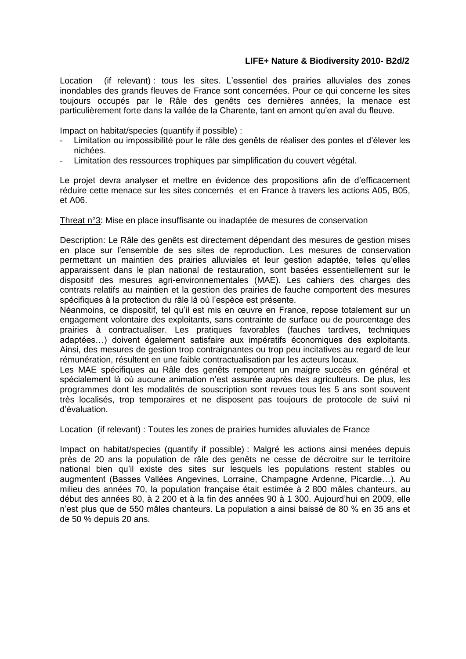Location (if relevant) : tous les sites. L'essentiel des prairies alluviales des zones inondables des grands fleuves de France sont concernées. Pour ce qui concerne les sites toujours occupés par le Râle des genêts ces dernières années, la menace est particulièrement forte dans la vallée de la Charente, tant en amont qu'en aval du fleuve.

Impact on habitat/species (quantify if possible) :

- Limitation ou impossibilité pour le râle des genêts de réaliser des pontes et d'élever les nichées.
- Limitation des ressources trophiques par simplification du couvert végétal.

Le projet devra analyser et mettre en évidence des propositions afin de d'efficacement réduire cette menace sur les sites concernés et en France à travers les actions A05, B05, et A06.

Threat n°3: Mise en place insuffisante ou inadaptée de mesures de conservation

Description: Le Râle des genêts est directement dépendant des mesures de gestion mises en place sur l'ensemble de ses sites de reproduction. Les mesures de conservation permettant un maintien des prairies alluviales et leur gestion adaptée, telles qu'elles apparaissent dans le plan national de restauration, sont basées essentiellement sur le dispositif des mesures agri-environnementales (MAE). Les cahiers des charges des contrats relatifs au maintien et la gestion des prairies de fauche comportent des mesures spécifiques à la protection du râle là où l'espèce est présente.

Néanmoins, ce dispositif, tel qu'il est mis en œuvre en France, repose totalement sur un engagement volontaire des exploitants, sans contrainte de surface ou de pourcentage des prairies à contractualiser. Les pratiques favorables (fauches tardives, techniques adaptées…) doivent également satisfaire aux impératifs économiques des exploitants. Ainsi, des mesures de gestion trop contraignantes ou trop peu incitatives au regard de leur rémunération, résultent en une faible contractualisation par les acteurs locaux.

Les MAE spécifiques au Râle des genêts remportent un maigre succès en général et spécialement là où aucune animation n'est assurée auprès des agriculteurs. De plus, les programmes dont les modalités de souscription sont revues tous les 5 ans sont souvent très localisés, trop temporaires et ne disposent pas toujours de protocole de suivi ni d'évaluation.

Location (if relevant) : Toutes les zones de prairies humides alluviales de France

Impact on habitat/species (quantify if possible) : Malgré les actions ainsi menées depuis près de 20 ans la population de râle des genêts ne cesse de décroitre sur le territoire national bien qu'il existe des sites sur lesquels les populations restent stables ou augmentent (Basses Vallées Angevines, Lorraine, Champagne Ardenne, Picardie…). Au milieu des années 70, la population française était estimée à 2 800 mâles chanteurs, au début des années 80, à 2 200 et à la fin des années 90 à 1 300. Aujourd'hui en 2009, elle n'est plus que de 550 mâles chanteurs. La population a ainsi baissé de 80 % en 35 ans et de 50 % depuis 20 ans.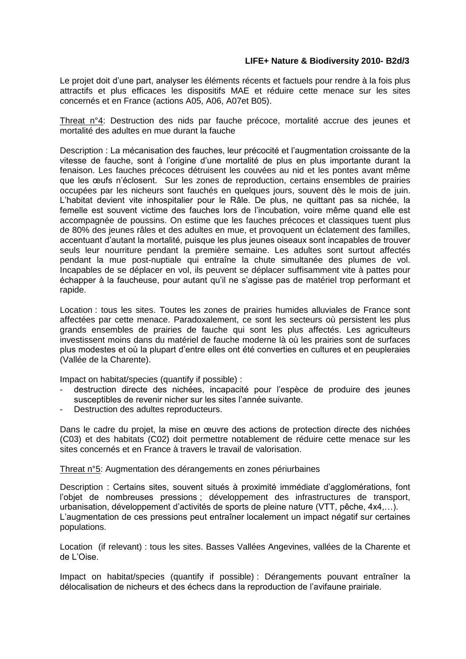Le projet doit d'une part, analyser les éléments récents et factuels pour rendre à la fois plus attractifs et plus efficaces les dispositifs MAE et réduire cette menace sur les sites concernés et en France (actions A05, A06, A07et B05).

Threat n°4: Destruction des nids par fauche précoce, mortalité accrue des jeunes et mortalité des adultes en mue durant la fauche

Description : La mécanisation des fauches, leur précocité et l'augmentation croissante de la vitesse de fauche, sont à l'origine d'une mortalité de plus en plus importante durant la fenaison. Les fauches précoces détruisent les couvées au nid et les pontes avant même que les œufs n'éclosent. Sur les zones de reproduction, certains ensembles de prairies occupées par les nicheurs sont fauchés en quelques jours, souvent dès le mois de juin. L'habitat devient vite inhospitalier pour le Râle. De plus, ne quittant pas sa nichée, la femelle est souvent victime des fauches lors de l'incubation, voire même quand elle est accompagnée de poussins. On estime que les fauches précoces et classiques tuent plus de 80% des jeunes râles et des adultes en mue, et provoquent un éclatement des familles, accentuant d'autant la mortalité, puisque les plus jeunes oiseaux sont incapables de trouver seuls leur nourriture pendant la première semaine. Les adultes sont surtout affectés pendant la mue post-nuptiale qui entraîne la chute simultanée des plumes de vol. Incapables de se déplacer en vol, ils peuvent se déplacer suffisamment vite à pattes pour échapper à la faucheuse, pour autant qu'il ne s'agisse pas de matériel trop performant et rapide.

Location : tous les sites. Toutes les zones de prairies humides alluviales de France sont affectées par cette menace. Paradoxalement, ce sont les secteurs où persistent les plus grands ensembles de prairies de fauche qui sont les plus affectés. Les agriculteurs investissent moins dans du matériel de fauche moderne là où les prairies sont de surfaces plus modestes et où la plupart d'entre elles ont été converties en cultures et en peupleraies (Vallée de la Charente).

Impact on habitat/species (quantify if possible) :

- destruction directe des nichées, incapacité pour l'espèce de produire des jeunes susceptibles de revenir nicher sur les sites l'année suivante.
- Destruction des adultes reproducteurs.

Dans le cadre du projet, la mise en œuvre des actions de protection directe des nichées (C03) et des habitats (C02) doit permettre notablement de réduire cette menace sur les sites concernés et en France à travers le travail de valorisation.

Threat n°5: Augmentation des dérangements en zones périurbaines

Description : Certains sites, souvent situés à proximité immédiate d'agglomérations, font l'objet de nombreuses pressions ; développement des infrastructures de transport, urbanisation, développement d'activités de sports de pleine nature (VTT, pêche, 4x4,…). L'augmentation de ces pressions peut entraîner localement un impact négatif sur certaines populations.

Location (if relevant) : tous les sites. Basses Vallées Angevines, vallées de la Charente et de L'Oise.

Impact on habitat/species (quantify if possible) : Dérangements pouvant entraîner la délocalisation de nicheurs et des échecs dans la reproduction de l'avifaune prairiale.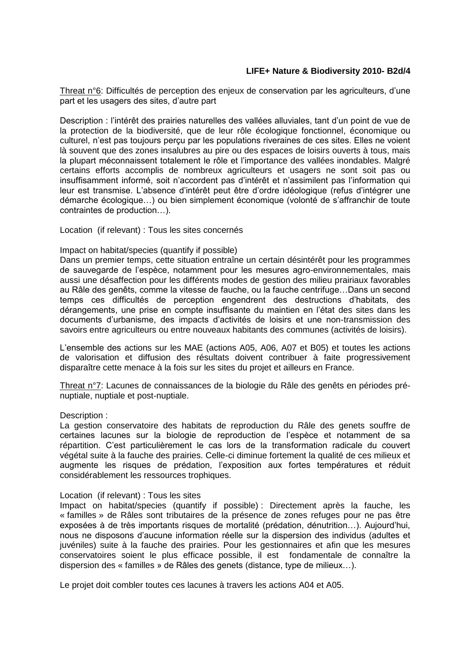Threat n°6: Difficultés de perception des enjeux de conservation par les agriculteurs, d'une part et les usagers des sites, d'autre part

Description : l'intérêt des prairies naturelles des vallées alluviales, tant d'un point de vue de la protection de la biodiversité, que de leur rôle écologique fonctionnel, économique ou culturel, n'est pas toujours perçu par les populations riveraines de ces sites. Elles ne voient là souvent que des zones insalubres au pire ou des espaces de loisirs ouverts à tous, mais la plupart méconnaissent totalement le rôle et l'importance des vallées inondables. Malgré certains efforts accomplis de nombreux agriculteurs et usagers ne sont soit pas ou insuffisamment informé, soit n'accordent pas d'intérêt et n'assimilent pas l'information qui leur est transmise. L'absence d'intérêt peut être d'ordre idéologique (refus d'intégrer une démarche écologique…) ou bien simplement économique (volonté de s'affranchir de toute contraintes de production…).

Location (if relevant) : Tous les sites concernés

#### Impact on habitat/species (quantify if possible)

Dans un premier temps, cette situation entraîne un certain désintérêt pour les programmes de sauvegarde de l'espèce, notamment pour les mesures agro-environnementales, mais aussi une désaffection pour les différents modes de gestion des milieu prairiaux favorables au Râle des genêts, comme la vitesse de fauche, ou la fauche centrifuge…Dans un second temps ces difficultés de perception engendrent des destructions d'habitats, des dérangements, une prise en compte insuffisante du maintien en l'état des sites dans les documents d'urbanisme, des impacts d'activités de loisirs et une non-transmission des savoirs entre agriculteurs ou entre nouveaux habitants des communes (activités de loisirs).

L'ensemble des actions sur les MAE (actions A05, A06, A07 et B05) et toutes les actions de valorisation et diffusion des résultats doivent contribuer à faite progressivement disparaître cette menace à la fois sur les sites du projet et ailleurs en France.

Threat n°7: Lacunes de connaissances de la biologie du Râle des genêts en périodes prénuptiale, nuptiale et post-nuptiale.

#### Description :

La gestion conservatoire des habitats de reproduction du Râle des genets souffre de certaines lacunes sur la biologie de reproduction de l'espèce et notamment de sa répartition. C'est particulièrement le cas lors de la transformation radicale du couvert végétal suite à la fauche des prairies. Celle-ci diminue fortement la qualité de ces milieux et augmente les risques de prédation, l'exposition aux fortes températures et réduit considérablement les ressources trophiques.

#### Location (if relevant) : Tous les sites

Impact on habitat/species (quantify if possible) : Directement après la fauche, les « familles » de Râles sont tributaires de la présence de zones refuges pour ne pas être exposées à de très importants risques de mortalité (prédation, dénutrition…). Aujourd'hui, nous ne disposons d'aucune information réelle sur la dispersion des individus (adultes et juvéniles) suite à la fauche des prairies. Pour les gestionnaires et afin que les mesures conservatoires soient le plus efficace possible, il est fondamentale de connaître la dispersion des « familles » de Râles des genets (distance, type de milieux…).

Le projet doit combler toutes ces lacunes à travers les actions A04 et A05.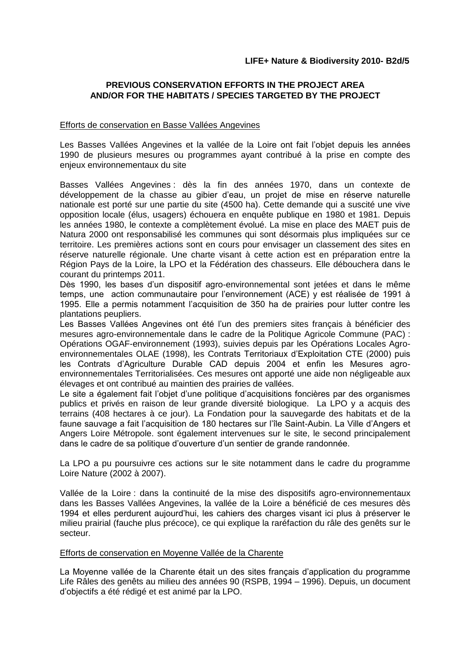# **PREVIOUS CONSERVATION EFFORTS IN THE PROJECT AREA AND/OR FOR THE HABITATS / SPECIES TARGETED BY THE PROJECT**

#### Efforts de conservation en Basse Vallées Angevines

Les Basses Vallées Angevines et la vallée de la Loire ont fait l'objet depuis les années 1990 de plusieurs mesures ou programmes ayant contribué à la prise en compte des enjeux environnementaux du site

Basses Vallées Angevines : dès la fin des années 1970, dans un contexte de développement de la chasse au gibier d'eau, un projet de mise en réserve naturelle nationale est porté sur une partie du site (4500 ha). Cette demande qui a suscité une vive opposition locale (élus, usagers) échouera en enquête publique en 1980 et 1981. Depuis les années 1980, le contexte a complètement évolué. La mise en place des MAET puis de Natura 2000 ont responsabilisé les communes qui sont désormais plus impliquées sur ce territoire. Les premières actions sont en cours pour envisager un classement des sites en réserve naturelle régionale. Une charte visant à cette action est en préparation entre la Région Pays de la Loire, la LPO et la Fédération des chasseurs. Elle débouchera dans le courant du printemps 2011.

Dès 1990, les bases d'un dispositif agro-environnemental sont jetées et dans le même temps, une action communautaire pour l'environnement (ACE) y est réalisée de 1991 à 1995. Elle a permis notamment l'acquisition de 350 ha de prairies pour lutter contre les plantations peupliers.

Les Basses Vallées Angevines ont été l'un des premiers sites français à bénéficier des mesures agro-environnementale dans le cadre de la Politique Agricole Commune (PAC) : Opérations OGAF-environnement (1993), suivies depuis par les Opérations Locales Agroenvironnementales OLAE (1998), les Contrats Territoriaux d'Exploitation CTE (2000) puis les Contrats d'Agriculture Durable CAD depuis 2004 et enfin les Mesures agroenvironnementales Territorialisées. Ces mesures ont apporté une aide non négligeable aux élevages et ont contribué au maintien des prairies de vallées.

Le site a également fait l'objet d'une politique d'acquisitions foncières par des organismes publics et privés en raison de leur grande diversité biologique. La LPO y a acquis des terrains (408 hectares à ce jour). La Fondation pour la sauvegarde des habitats et de la faune sauvage a fait l'acquisition de 180 hectares sur l'île Saint-Aubin. La Ville d'Angers et Angers Loire Métropole. sont également intervenues sur le site, le second principalement dans le cadre de sa politique d'ouverture d'un sentier de grande randonnée.

La LPO a pu poursuivre ces actions sur le site notamment dans le cadre du programme Loire Nature (2002 à 2007).

Vallée de la Loire : dans la continuité de la mise des dispositifs agro-environnementaux dans les Basses Vallées Angevines, la vallée de la Loire a bénéficié de ces mesures dès 1994 et elles perdurent aujourd'hui, les cahiers des charges visant ici plus à préserver le milieu prairial (fauche plus précoce), ce qui explique la raréfaction du râle des genêts sur le secteur.

#### Efforts de conservation en Moyenne Vallée de la Charente

La Moyenne vallée de la Charente était un des sites français d'application du programme Life Râles des genêts au milieu des années 90 (RSPB, 1994 – 1996). Depuis, un document d'objectifs a été rédigé et est animé par la LPO.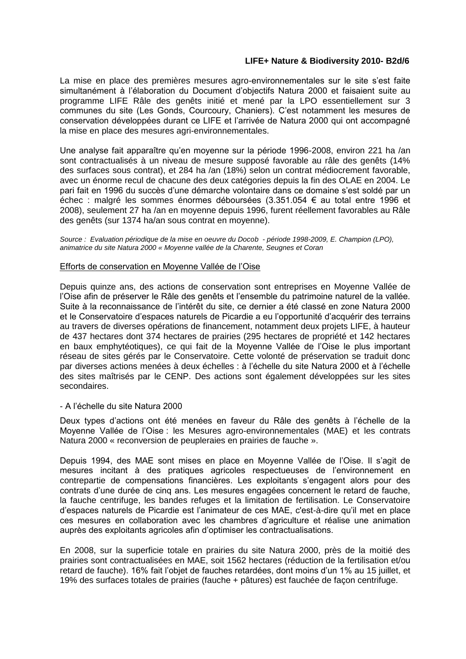La mise en place des premières mesures agro-environnementales sur le site s'est faite simultanément à l'élaboration du Document d'objectifs Natura 2000 et faisaient suite au programme LIFE Râle des genêts initié et mené par la LPO essentiellement sur 3 communes du site (Les Gonds, Courcoury, Chaniers). C'est notamment les mesures de conservation développées durant ce LIFE et l'arrivée de Natura 2000 qui ont accompagné la mise en place des mesures agri-environnementales.

Une analyse fait apparaître qu'en moyenne sur la période 1996-2008, environ 221 ha /an sont contractualisés à un niveau de mesure supposé favorable au râle des genêts (14% des surfaces sous contrat), et 284 ha /an (18%) selon un contrat médiocrement favorable, avec un énorme recul de chacune des deux catégories depuis la fin des OLAE en 2004. Le pari fait en 1996 du succès d'une démarche volontaire dans ce domaine s'est soldé par un échec : malgré les sommes énormes déboursées (3.351.054 € au total entre 1996 et 2008), seulement 27 ha /an en moyenne depuis 1996, furent réellement favorables au Râle des genêts (sur 1374 ha/an sous contrat en moyenne).

*Source : Evaluation périodique de la mise en oeuvre du Docob - période 1998-2009, E. Champion (LPO), animatrice du site Natura 2000 « Moyenne vallée de la Charente, Seugnes et Coran*

#### Efforts de conservation en Moyenne Vallée de l'Oise

Depuis quinze ans, des actions de conservation sont entreprises en Moyenne Vallée de l'Oise afin de préserver le Râle des genêts et l'ensemble du patrimoine naturel de la vallée. Suite à la reconnaissance de l'intérêt du site, ce dernier a été classé en zone Natura 2000 et le Conservatoire d'espaces naturels de Picardie a eu l'opportunité d'acquérir des terrains au travers de diverses opérations de financement, notamment deux projets LIFE, à hauteur de 437 hectares dont 374 hectares de prairies (295 hectares de propriété et 142 hectares en baux emphytéotiques), ce qui fait de la Moyenne Vallée de l'Oise le plus important réseau de sites gérés par le Conservatoire. Cette volonté de préservation se traduit donc par diverses actions menées à deux échelles : à l'échelle du site Natura 2000 et à l'échelle des sites maîtrisés par le CENP. Des actions sont également développées sur les sites secondaires.

#### - A l'échelle du site Natura 2000

Deux types d'actions ont été menées en faveur du Râle des genêts à l'échelle de la Moyenne Vallée de l'Oise : les Mesures agro-environnementales (MAE) et les contrats Natura 2000 « reconversion de peupleraies en prairies de fauche ».

Depuis 1994, des MAE sont mises en place en Moyenne Vallée de l'Oise. Il s'agit de mesures incitant à des pratiques agricoles respectueuses de l'environnement en contrepartie de compensations financières. Les exploitants s'engagent alors pour des contrats d'une durée de cinq ans. Les mesures engagées concernent le retard de fauche, la fauche centrifuge, les bandes refuges et la limitation de fertilisation. Le Conservatoire d'espaces naturels de Picardie est l'animateur de ces MAE, c'est-à-dire qu'il met en place ces mesures en collaboration avec les chambres d'agriculture et réalise une animation auprès des exploitants agricoles afin d'optimiser les contractualisations.

En 2008, sur la superficie totale en prairies du site Natura 2000, près de la moitié des prairies sont contractualisées en MAE, soit 1562 hectares (réduction de la fertilisation et/ou retard de fauche). 16% fait l'objet de fauches retardées, dont moins d'un 1% au 15 juillet, et 19% des surfaces totales de prairies (fauche + pâtures) est fauchée de façon centrifuge.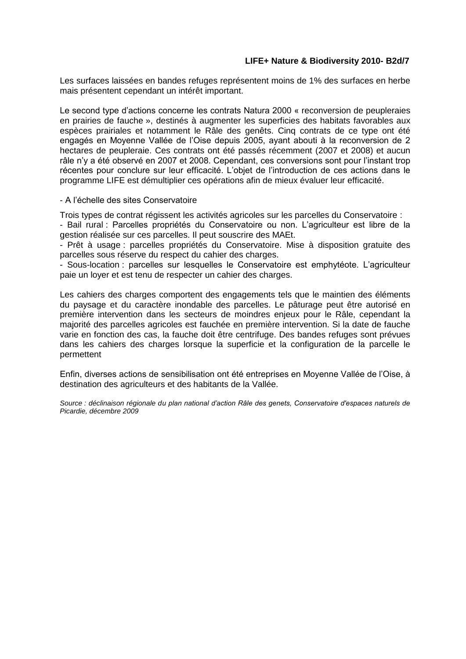Les surfaces laissées en bandes refuges représentent moins de 1% des surfaces en herbe mais présentent cependant un intérêt important.

Le second type d'actions concerne les contrats Natura 2000 « reconversion de peupleraies en prairies de fauche », destinés à augmenter les superficies des habitats favorables aux espèces prairiales et notamment le Râle des genêts. Cinq contrats de ce type ont été engagés en Moyenne Vallée de l'Oise depuis 2005, ayant abouti à la reconversion de 2 hectares de peupleraie. Ces contrats ont été passés récemment (2007 et 2008) et aucun râle n'y a été observé en 2007 et 2008. Cependant, ces conversions sont pour l'instant trop récentes pour conclure sur leur efficacité. L'objet de l'introduction de ces actions dans le programme LIFE est démultiplier ces opérations afin de mieux évaluer leur efficacité.

#### - A l'échelle des sites Conservatoire

Trois types de contrat régissent les activités agricoles sur les parcelles du Conservatoire :

- Bail rural : Parcelles propriétés du Conservatoire ou non. L'agriculteur est libre de la gestion réalisée sur ces parcelles. Il peut souscrire des MAEt.

- Prêt à usage : parcelles propriétés du Conservatoire. Mise à disposition gratuite des parcelles sous réserve du respect du cahier des charges.

- Sous-location : parcelles sur lesquelles le Conservatoire est emphytéote. L'agriculteur paie un loyer et est tenu de respecter un cahier des charges.

Les cahiers des charges comportent des engagements tels que le maintien des éléments du paysage et du caractère inondable des parcelles. Le pâturage peut être autorisé en première intervention dans les secteurs de moindres enjeux pour le Râle, cependant la majorité des parcelles agricoles est fauchée en première intervention. Si la date de fauche varie en fonction des cas, la fauche doit être centrifuge. Des bandes refuges sont prévues dans les cahiers des charges lorsque la superficie et la configuration de la parcelle le permettent

Enfin, diverses actions de sensibilisation ont été entreprises en Moyenne Vallée de l'Oise, à destination des agriculteurs et des habitants de la Vallée.

*Source : déclinaison régionale du plan national d'action Râle des genets, Conservatoire d'espaces naturels de Picardie, décembre 2009*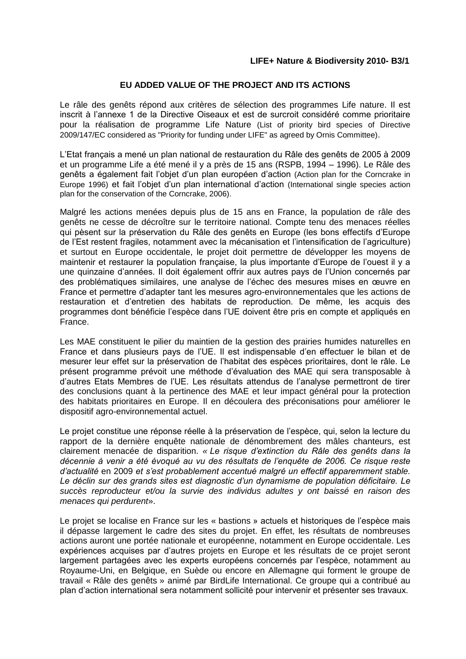# **EU ADDED VALUE OF THE PROJECT AND ITS ACTIONS**

Le râle des genêts répond aux critères de sélection des programmes Life nature. Il est inscrit à l'annexe 1 de la Directive Oiseaux et est de surcroit considéré comme prioritaire pour la réalisation de programme Life Nature (List of priority bird species of Directive 2009/147/EC considered as "Priority for funding under LIFE" as agreed by Ornis Committee).

L'Etat français a mené un plan national de restauration du Râle des genêts de 2005 à 2009 et un programme Life a été mené il y a près de 15 ans (RSPB, 1994 – 1996). Le Râle des genêts a également fait l'objet d'un plan européen d'action (Action plan for the Corncrake in Europe 1996) et fait l'objet d'un plan international d'action (International single species action plan for the conservation of the Corncrake, 2006).

Malgré les actions menées depuis plus de 15 ans en France, la population de râle des genêts ne cesse de décroître sur le territoire national. Compte tenu des menaces réelles qui pèsent sur la préservation du Râle des genêts en Europe (les bons effectifs d'Europe de l'Est restent fragiles, notamment avec la mécanisation et l'intensification de l'agriculture) et surtout en Europe occidentale, le projet doit permettre de développer les moyens de maintenir et restaurer la population française, la plus importante d'Europe de l'ouest il y a une quinzaine d'années. Il doit également offrir aux autres pays de l'Union concernés par des problématiques similaires, une analyse de l'échec des mesures mises en œuvre en France et permettre d'adapter tant les mesures agro-environnementales que les actions de restauration et d'entretien des habitats de reproduction. De même, les acquis des programmes dont bénéficie l'espèce dans l'UE doivent être pris en compte et appliqués en France.

Les MAE constituent le pilier du maintien de la gestion des prairies humides naturelles en France et dans plusieurs pays de l'UE. Il est indispensable d'en effectuer le bilan et de mesurer leur effet sur la préservation de l'habitat des espèces prioritaires, dont le râle. Le présent programme prévoit une méthode d'évaluation des MAE qui sera transposable à d'autres Etats Membres de l'UE. Les résultats attendus de l'analyse permettront de tirer des conclusions quant à la pertinence des MAE et leur impact général pour la protection des habitats prioritaires en Europe. Il en découlera des préconisations pour améliorer le dispositif agro-environnemental actuel.

Le projet constitue une réponse réelle à la préservation de l'espèce, qui, selon la lecture du rapport de la dernière enquête nationale de dénombrement des mâles chanteurs, est clairement menacée de disparition. *« Le risque d'extinction du Râle des genêts dans la décennie à venir a été évoqué au vu des résultats de l'enquête de 2006. Ce risque reste d'actualité* en 2009 *et s'est probablement accentué malgré un effectif apparemment stable. Le déclin sur des grands sites est diagnostic d'un dynamisme de population déficitaire. Le succès reproducteur et/ou la survie des individus adultes y ont baissé en raison des menaces qui perdurent*».

Le projet se localise en France sur les « bastions » actuels et historiques de l'espèce mais il dépasse largement le cadre des sites du projet. En effet, les résultats de nombreuses actions auront une portée nationale et européenne, notamment en Europe occidentale. Les expériences acquises par d'autres projets en Europe et les résultats de ce projet seront largement partagées avec les experts européens concernés par l'espèce, notamment au Royaume-Uni, en Belgique, en Suède ou encore en Allemagne qui forment le groupe de travail « Râle des genêts » animé par BirdLife International. Ce groupe qui a contribué au plan d'action international sera notamment sollicité pour intervenir et présenter ses travaux.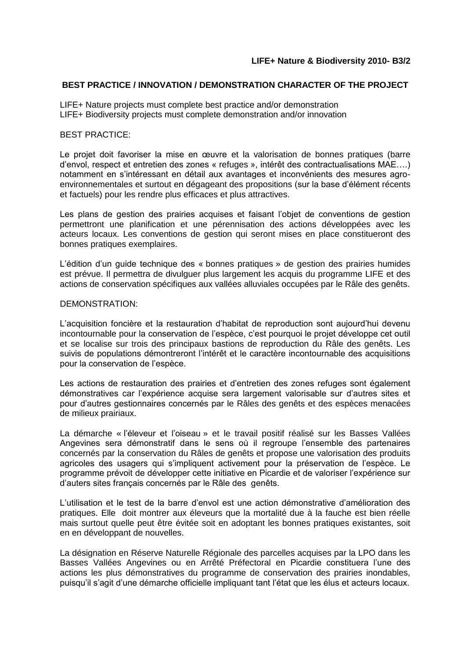#### **BEST PRACTICE / INNOVATION / DEMONSTRATION CHARACTER OF THE PROJECT**

LIFE+ Nature projects must complete best practice and/or demonstration LIFE+ Biodiversity projects must complete demonstration and/or innovation

#### BEST PRACTICE:

Le projet doit favoriser la mise en œuvre et la valorisation de bonnes pratiques (barre d'envol, respect et entretien des zones « refuges », intérêt des contractualisations MAE….) notamment en s'intéressant en détail aux avantages et inconvénients des mesures agroenvironnementales et surtout en dégageant des propositions (sur la base d'élément récents et factuels) pour les rendre plus efficaces et plus attractives.

Les plans de gestion des prairies acquises et faisant l'objet de conventions de gestion permettront une planification et une pérennisation des actions développées avec les acteurs locaux. Les conventions de gestion qui seront mises en place constitueront des bonnes pratiques exemplaires.

L'édition d'un guide technique des « bonnes pratiques » de gestion des prairies humides est prévue. Il permettra de divulguer plus largement les acquis du programme LIFE et des actions de conservation spécifiques aux vallées alluviales occupées par le Râle des genêts.

#### DEMONSTRATION:

L'acquisition foncière et la restauration d'habitat de reproduction sont aujourd'hui devenu incontournable pour la conservation de l'espèce, c'est pourquoi le projet développe cet outil et se localise sur trois des principaux bastions de reproduction du Râle des genêts. Les suivis de populations démontreront l'intérêt et le caractère incontournable des acquisitions pour la conservation de l'espèce.

Les actions de restauration des prairies et d'entretien des zones refuges sont également démonstratives car l'expérience acquise sera largement valorisable sur d'autres sites et pour d'autres gestionnaires concernés par le Râles des genêts et des espèces menacées de milieux prairiaux.

La démarche « l'éleveur et l'oiseau » et le travail positif réalisé sur les Basses Vallées Angevines sera démonstratif dans le sens où il regroupe l'ensemble des partenaires concernés par la conservation du Râles de genêts et propose une valorisation des produits agricoles des usagers qui s'impliquent activement pour la préservation de l'espèce. Le programme prévoit de développer cette initiative en Picardie et de valoriser l'expérience sur d'auters sites français concernés par le Râle des genêts.

L'utilisation et le test de la barre d'envol est une action démonstrative d'amélioration des pratiques. Elle doit montrer aux éleveurs que la mortalité due à la fauche est bien réelle mais surtout quelle peut être évitée soit en adoptant les bonnes pratiques existantes, soit en en développant de nouvelles.

La désignation en Réserve Naturelle Régionale des parcelles acquises par la LPO dans les Basses Vallées Angevines ou en Arrêté Préfectoral en Picardie constituera l'une des actions les plus démonstratives du programme de conservation des prairies inondables, puisqu'il s'agit d'une démarche officielle impliquant tant l'état que les élus et acteurs locaux.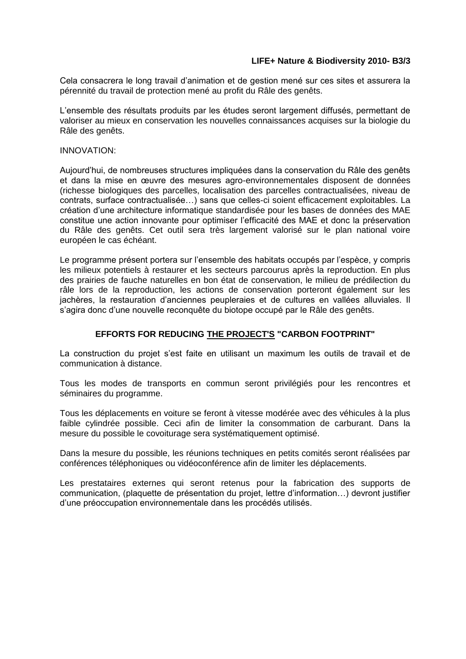Cela consacrera le long travail d'animation et de gestion mené sur ces sites et assurera la pérennité du travail de protection mené au profit du Râle des genêts.

L'ensemble des résultats produits par les études seront largement diffusés, permettant de valoriser au mieux en conservation les nouvelles connaissances acquises sur la biologie du Râle des genêts.

#### INNOVATION:

Aujourd'hui, de nombreuses structures impliquées dans la conservation du Râle des genêts et dans la mise en œuvre des mesures agro-environnementales disposent de données (richesse biologiques des parcelles, localisation des parcelles contractualisées, niveau de contrats, surface contractualisée…) sans que celles-ci soient efficacement exploitables. La création d'une architecture informatique standardisée pour les bases de données des MAE constitue une action innovante pour optimiser l'efficacité des MAE et donc la préservation du Râle des genêts. Cet outil sera très largement valorisé sur le plan national voire européen le cas échéant.

Le programme présent portera sur l'ensemble des habitats occupés par l'espèce, y compris les milieux potentiels à restaurer et les secteurs parcourus après la reproduction. En plus des prairies de fauche naturelles en bon état de conservation, le milieu de prédilection du râle lors de la reproduction, les actions de conservation porteront également sur les jachères, la restauration d'anciennes peupleraies et de cultures en vallées alluviales. Il s'agira donc d'une nouvelle reconquête du biotope occupé par le Râle des genêts.

# **EFFORTS FOR REDUCING THE PROJECT'S "CARBON FOOTPRINT"**

La construction du projet s'est faite en utilisant un maximum les outils de travail et de communication à distance.

Tous les modes de transports en commun seront privilégiés pour les rencontres et séminaires du programme.

Tous les déplacements en voiture se feront à vitesse modérée avec des véhicules à la plus faible cylindrée possible. Ceci afin de limiter la consommation de carburant. Dans la mesure du possible le covoiturage sera systématiquement optimisé.

Dans la mesure du possible, les réunions techniques en petits comités seront réalisées par conférences téléphoniques ou vidéoconférence afin de limiter les déplacements.

Les prestataires externes qui seront retenus pour la fabrication des supports de communication, (plaquette de présentation du projet, lettre d'information…) devront justifier d'une préoccupation environnementale dans les procédés utilisés.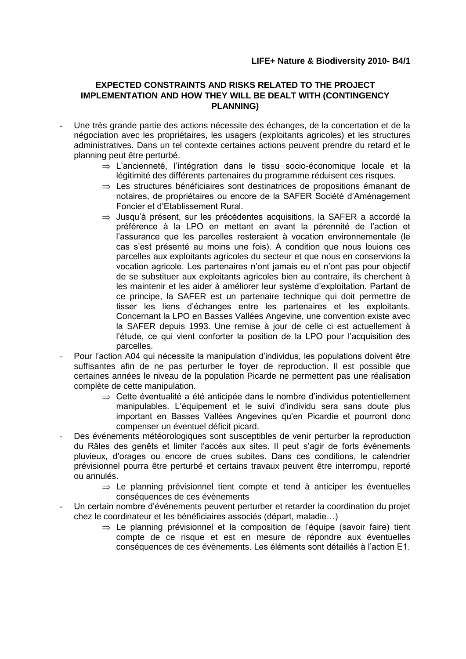# **EXPECTED CONSTRAINTS AND RISKS RELATED TO THE PROJECT IMPLEMENTATION AND HOW THEY WILL BE DEALT WITH (CONTINGENCY PLANNING)**

- Une très grande partie des actions nécessite des échanges, de la concertation et de la négociation avec les propriétaires, les usagers (exploitants agricoles) et les structures administratives. Dans un tel contexte certaines actions peuvent prendre du retard et le planning peut être perturbé.
	- $\Rightarrow$  L'ancienneté, l'intégration dans le tissu socio-économique locale et la légitimité des différents partenaires du programme réduisent ces risques.
	- $\Rightarrow$  Les structures bénéficiaires sont destinatrices de propositions émanant de notaires, de propriétaires ou encore de la SAFER Société d'Aménagement Foncier et d'Etablissement Rural.
	- $\Rightarrow$  Jusqu'à présent, sur les précédentes acquisitions, la SAFER a accordé la préférence à la LPO en mettant en avant la pérennité de l'action et l'assurance que les parcelles resteraient à vocation environnementale (le cas s'est présenté au moins une fois). A condition que nous louions ces parcelles aux exploitants agricoles du secteur et que nous en conservions la vocation agricole. Les partenaires n'ont jamais eu et n'ont pas pour objectif de se substituer aux exploitants agricoles bien au contraire, ils cherchent à les maintenir et les aider à améliorer leur système d'exploitation. Partant de ce principe, la SAFER est un partenaire technique qui doit permettre de tisser les liens d'échanges entre les partenaires et les exploitants. Concernant la LPO en Basses Vallées Angevine, une convention existe avec la SAFER depuis 1993. Une remise à jour de celle ci est actuellement à l'étude, ce qui vient conforter la position de la LPO pour l'acquisition des parcelles.
- Pour l'action A04 qui nécessite la manipulation d'individus, les populations doivent être suffisantes afin de ne pas perturber le foyer de reproduction. Il est possible que certaines années le niveau de la population Picarde ne permettent pas une réalisation complète de cette manipulation.
	- $\Rightarrow$  Cette éventualité a été anticipée dans le nombre d'individus potentiellement manipulables. L'équipement et le suivi d'individu sera sans doute plus important en Basses Vallées Angevines qu'en Picardie et pourront donc compenser un éventuel déficit picard.
- Des événements météorologiques sont susceptibles de venir perturber la reproduction du Râles des genêts et limiter l'accès aux sites. Il peut s'agir de forts événements pluvieux, d'orages ou encore de crues subites. Dans ces conditions, le calendrier prévisionnel pourra être perturbé et certains travaux peuvent être interrompu, reporté ou annulés.
	- $\Rightarrow$  Le planning prévisionnel tient compte et tend à anticiper les éventuelles conséquences de ces évènements
- Un certain nombre d'événements peuvent perturber et retarder la coordination du projet chez le coordinateur et les bénéficiaires associés (départ, maladie…)
	- $\Rightarrow$  Le planning prévisionnel et la composition de l'équipe (savoir faire) tient compte de ce risque et est en mesure de répondre aux éventuelles conséquences de ces évènements. Les éléments sont détaillés à l'action E1.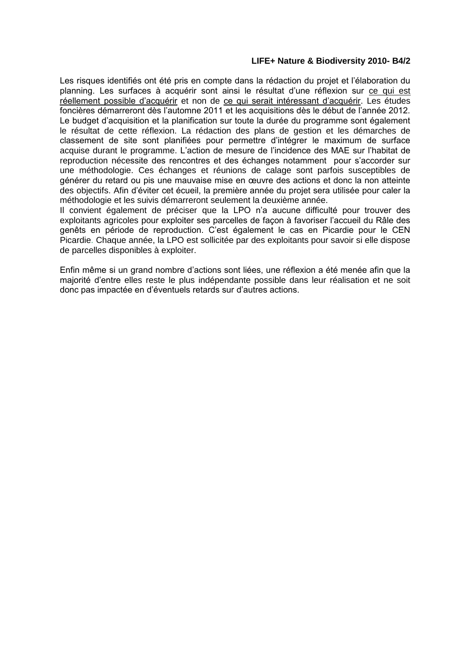Les risques identifiés ont été pris en compte dans la rédaction du projet et l'élaboration du planning. Les surfaces à acquérir sont ainsi le résultat d'une réflexion sur ce qui est réellement possible d'acquérir et non de ce qui serait intéressant d'acquérir. Les études foncières démarreront dès l'automne 2011 et les acquisitions dès le début de l'année 2012. Le budget d'acquisition et la planification sur toute la durée du programme sont également le résultat de cette réflexion. La rédaction des plans de gestion et les démarches de classement de site sont planifiées pour permettre d'intégrer le maximum de surface acquise durant le programme. L'action de mesure de l'incidence des MAE sur l'habitat de reproduction nécessite des rencontres et des échanges notamment pour s'accorder sur une méthodologie. Ces échanges et réunions de calage sont parfois susceptibles de générer du retard ou pis une mauvaise mise en œuvre des actions et donc la non atteinte des objectifs. Afin d'éviter cet écueil, la première année du projet sera utilisée pour caler la méthodologie et les suivis démarreront seulement la deuxième année.

Il convient également de préciser que la LPO n'a aucune difficulté pour trouver des exploitants agricoles pour exploiter ses parcelles de façon à favoriser l'accueil du Râle des genêts en période de reproduction. C'est également le cas en Picardie pour le CEN Picardie. Chaque année, la LPO est sollicitée par des exploitants pour savoir si elle dispose de parcelles disponibles à exploiter.

Enfin même si un grand nombre d'actions sont liées, une réflexion a été menée afin que la majorité d'entre elles reste le plus indépendante possible dans leur réalisation et ne soit donc pas impactée en d'éventuels retards sur d'autres actions.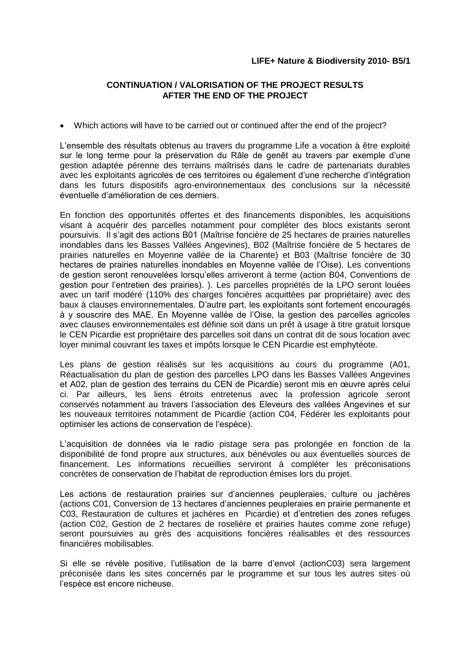# **CONTINUATION / VALORISATION OF THE PROJECT RESULTS AFTER THE END OF THE PROJECT**

Which actions will have to be carried out or continued after the end of the project?

L'ensemble des résultats obtenus au travers du programme Life a vocation à être exploité sur le long terme pour la préservation du Râle de genêt au travers par exemple d'une gestion adaptée pérenne des terrains maîtrisés dans le cadre de partenariats durables avec les exploitants agricoles de ces territoires ou également d'une recherche d'intégration dans les futurs dispositifs agro-environnementaux des conclusions sur la nécessité éventuelle d'amélioration de ces derniers.

En fonction des opportunités offertes et des financements disponibles, les acquisitions visant à acquérir des parcelles notamment pour compléter des blocs existants seront poursuivis. Il s'agit des actions B01 (Maîtrise foncière de 25 hectares de prairies naturelles inondables dans les Basses Vallées Angevines), B02 (Maîtrise foncière de 5 hectares de prairies naturelles en Moyenne vallée de la Charente) et B03 (Maîtrise foncière de 30 hectares de prairies naturelles inondables en Moyenne vallée de l'Oise). Les conventions de gestion seront renouvelées lorsqu'elles arriveront à terme (action B04, Conventions de gestion pour l'entretien des prairies). ). Les parcelles propriétés de la LPO seront louées avec un tarif modéré (110% des charges foncières acquittées par propriétaire) avec des baux à clauses environnementales. D'autre part, les exploitants sont fortement encouragés à y souscrire des MAE. En Moyenne vallée de l'Oise, la gestion des parcelles agricoles avec clauses environnementales est définie soit dans un prêt à usage à titre gratuit lorsque le CEN Picardie est propriétaire des parcelles soit dans un contrat dit de sous location avec loyer minimal couvrant les taxes et impôts lorsque le CEN Picardie est emphytéote.

Les plans de gestion réalisés sur les acquisitions au cours du programme (A01, Réactualisation du plan de gestion des parcelles LPO dans les Basses Vallées Angevines et A02, plan de gestion des terrains du CEN de Picardie) seront mis en œuvre après celui ci. Par ailleurs, les liens étroits entretenus avec la profession agricole seront conservés notamment au travers l'association des Eleveurs des vallées Angevines et sur les nouveaux territoires notamment de Picardie (action C04, Fédérer les exploitants pour optimiser les actions de conservation de l'espèce).

L'acquisition de données via le radio pistage sera pas prolongée en fonction de la disponibilité de fond propre aux structures, aux bénévoles ou aux éventuelles sources de financement. Les informations recueillies serviront à compléter les préconisations concrètes de conservation de l'habitat de reproduction émises lors du projet.

Les actions de restauration prairies sur d'anciennes peupleraies, culture ou jachères (actions C01, Conversion de 13 hectares d'anciennes peupleraies en prairie permanente et C03, Restauration de cultures et jachères en Picardie) et d'entretien des zones refuges (action C02, Gestion de 2 hectares de roselière et prairies hautes comme zone refuge) seront poursuivies au grès des acquisitions foncières réalisables et des ressources financières mobilisables.

Si elle se révèle positive, l'utilisation de la barre d'envol (actionC03) sera largement préconisée dans les sites concernés par le programme et sur tous les autres sites où l'espèce est encore nicheuse.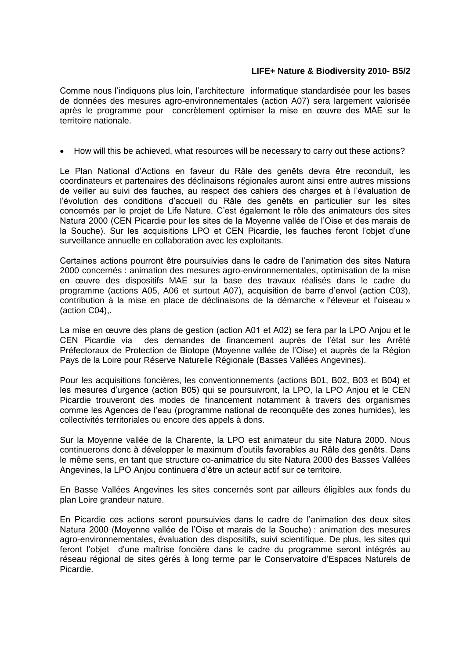Comme nous l'indiquons plus loin, l'architecture informatique standardisée pour les bases de données des mesures agro-environnementales (action A07) sera largement valorisée après le programme pour concrètement optimiser la mise en œuvre des MAE sur le territoire nationale.

• How will this be achieved, what resources will be necessary to carry out these actions?

Le Plan National d'Actions en faveur du Râle des genêts devra être reconduit, les coordinateurs et partenaires des déclinaisons régionales auront ainsi entre autres missions de veiller au suivi des fauches, au respect des cahiers des charges et à l'évaluation de l'évolution des conditions d'accueil du Râle des genêts en particulier sur les sites concernés par le projet de Life Nature. C'est également le rôle des animateurs des sites Natura 2000 (CEN Picardie pour les sites de la Moyenne vallée de l'Oise et des marais de la Souche). Sur les acquisitions LPO et CEN Picardie, les fauches feront l'objet d'une surveillance annuelle en collaboration avec les exploitants.

Certaines actions pourront être poursuivies dans le cadre de l'animation des sites Natura 2000 concernés : animation des mesures agro-environnementales, optimisation de la mise en œuvre des dispositifs MAE sur la base des travaux réalisés dans le cadre du programme (actions A05, A06 et surtout A07), acquisition de barre d'envol (action C03), contribution à la mise en place de déclinaisons de la démarche « l'éleveur et l'oiseau » (action C04),.

La mise en œuvre des plans de gestion (action A01 et A02) se fera par la LPO Anjou et le CEN Picardie via des demandes de financement auprès de l'état sur les Arrêté Préfectoraux de Protection de Biotope (Moyenne vallée de l'Oise) et auprès de la Région Pays de la Loire pour Réserve Naturelle Régionale (Basses Vallées Angevines).

Pour les acquisitions foncières, les conventionnements (actions B01, B02, B03 et B04) et les mesures d'urgence (action B05) qui se poursuivront, la LPO, la LPO Anjou et le CEN Picardie trouveront des modes de financement notamment à travers des organismes comme les Agences de l'eau (programme national de reconquête des zones humides), les collectivités territoriales ou encore des appels à dons.

Sur la Moyenne vallée de la Charente, la LPO est animateur du site Natura 2000. Nous continuerons donc à développer le maximum d'outils favorables au Râle des genêts. Dans le même sens, en tant que structure co-animatrice du site Natura 2000 des Basses Vallées Angevines, la LPO Anjou continuera d'être un acteur actif sur ce territoire.

En Basse Vallées Angevines les sites concernés sont par ailleurs éligibles aux fonds du plan Loire grandeur nature.

En Picardie ces actions seront poursuivies dans le cadre de l'animation des deux sites Natura 2000 (Moyenne vallée de l'Oise et marais de la Souche) : animation des mesures agro-environnementales, évaluation des dispositifs, suivi scientifique. De plus, les sites qui feront l'objet d'une maîtrise foncière dans le cadre du programme seront intégrés au réseau régional de sites gérés à long terme par le Conservatoire d'Espaces Naturels de Picardie.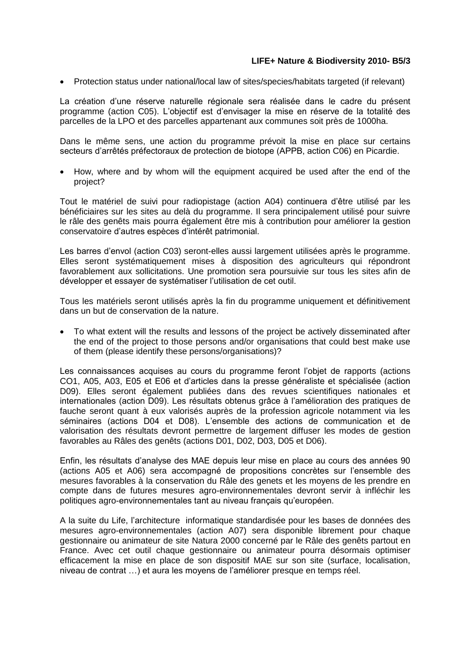Protection status under national/local law of sites/species/habitats targeted (if relevant)

La création d'une réserve naturelle régionale sera réalisée dans le cadre du présent programme (action C05). L'objectif est d'envisager la mise en réserve de la totalité des parcelles de la LPO et des parcelles appartenant aux communes soit près de 1000ha.

Dans le même sens, une action du programme prévoit la mise en place sur certains secteurs d'arrêtés préfectoraux de protection de biotope (APPB, action C06) en Picardie.

 How, where and by whom will the equipment acquired be used after the end of the project?

Tout le matériel de suivi pour radiopistage (action A04) continuera d'être utilisé par les bénéficiaires sur les sites au delà du programme. Il sera principalement utilisé pour suivre le râle des genêts mais pourra également être mis à contribution pour améliorer la gestion conservatoire d'autres espèces d'intérêt patrimonial.

Les barres d'envol (action C03) seront-elles aussi largement utilisées après le programme. Elles seront systématiquement mises à disposition des agriculteurs qui répondront favorablement aux sollicitations. Une promotion sera poursuivie sur tous les sites afin de développer et essayer de systématiser l'utilisation de cet outil.

Tous les matériels seront utilisés après la fin du programme uniquement et définitivement dans un but de conservation de la nature.

 To what extent will the results and lessons of the project be actively disseminated after the end of the project to those persons and/or organisations that could best make use of them (please identify these persons/organisations)?

Les connaissances acquises au cours du programme feront l'objet de rapports (actions CO1, A05, A03, E05 et E06 et d'articles dans la presse généraliste et spécialisée (action D09). Elles seront également publiées dans des revues scientifiques nationales et internationales (action D09). Les résultats obtenus grâce à l'amélioration des pratiques de fauche seront quant à eux valorisés auprès de la profession agricole notamment via les séminaires (actions D04 et D08). L'ensemble des actions de communication et de valorisation des résultats devront permettre de largement diffuser les modes de gestion favorables au Râles des genêts (actions D01, D02, D03, D05 et D06).

Enfin, les résultats d'analyse des MAE depuis leur mise en place au cours des années 90 (actions A05 et A06) sera accompagné de propositions concrètes sur l'ensemble des mesures favorables à la conservation du Râle des genets et les moyens de les prendre en compte dans de futures mesures agro-environnementales devront servir à infléchir les politiques agro-environnementales tant au niveau français qu'européen.

A la suite du Life, l'architecture informatique standardisée pour les bases de données des mesures agro-environnementales (action A07) sera disponible librement pour chaque gestionnaire ou animateur de site Natura 2000 concerné par le Râle des genêts partout en France. Avec cet outil chaque gestionnaire ou animateur pourra désormais optimiser efficacement la mise en place de son dispositif MAE sur son site (surface, localisation, niveau de contrat …) et aura les moyens de l'améliorer presque en temps réel.